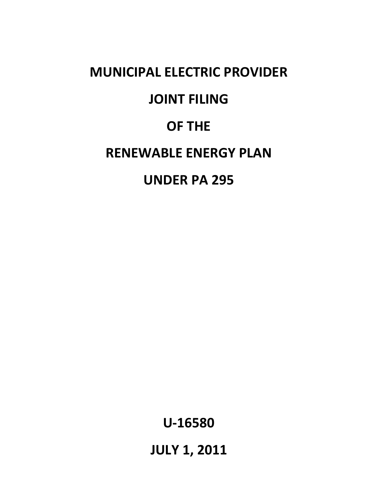# **MUNICIPAL ELECTRIC PROVIDER JOINT FILING OF THE RENEWABLE ENERGY PLAN UNDER PA 295**

**U-16580**

**JULY 1, 2011**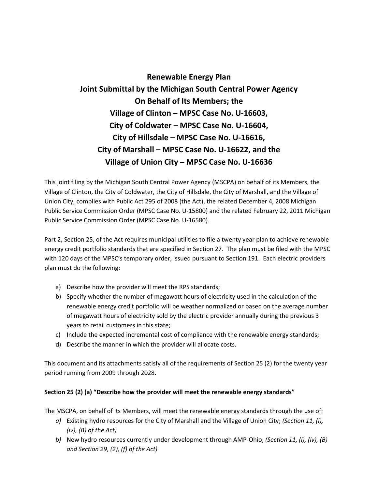## **Renewable Energy Plan Joint Submittal by the Michigan South Central Power Agency On Behalf of Its Members; the Village of Clinton – MPSC Case No. U-16603, City of Coldwater – MPSC Case No. U-16604, City of Hillsdale – MPSC Case No. U-16616, City of Marshall – MPSC Case No. U-16622, and the Village of Union City – MPSC Case No. U-16636**

This joint filing by the Michigan South Central Power Agency (MSCPA) on behalf of its Members, the Village of Clinton, the City of Coldwater, the City of Hillsdale, the City of Marshall, and the Village of Union City, complies with Public Act 295 of 2008 (the Act), the related December 4, 2008 Michigan Public Service Commission Order (MPSC Case No. U-15800) and the related February 22, 2011 Michigan Public Service Commission Order (MPSC Case No. U-16580).

Part 2, Section 25, of the Act requires municipal utilities to file a twenty year plan to achieve renewable energy credit portfolio standards that are specified in Section 27. The plan must be filed with the MPSC with 120 days of the MPSC's temporary order, issued pursuant to Section 191. Each electric providers plan must do the following:

- a) Describe how the provider will meet the RPS standards;
- b) Specify whether the number of megawatt hours of electricity used in the calculation of the renewable energy credit portfolio will be weather normalized or based on the average number of megawatt hours of electricity sold by the electric provider annually during the previous 3 years to retail customers in this state;
- c) Include the expected incremental cost of compliance with the renewable energy standards;
- d) Describe the manner in which the provider will allocate costs.

This document and its attachments satisfy all of the requirements of Section 25 (2) for the twenty year period running from 2009 through 2028.

## **Section 25 (2) (a) "Describe how the provider will meet the renewable energy standards"**

The MSCPA, on behalf of its Members, will meet the renewable energy standards through the use of:

- *a)* Existing hydro resources for the City of Marshall and the Village of Union City; *(Section 11, (i), (iv), (B) of the Act)*
- *b)* New hydro resources currently under development through AMP-Ohio; *(Section 11, (i), (iv), (B) and Section 29, (2), (f) of the Act)*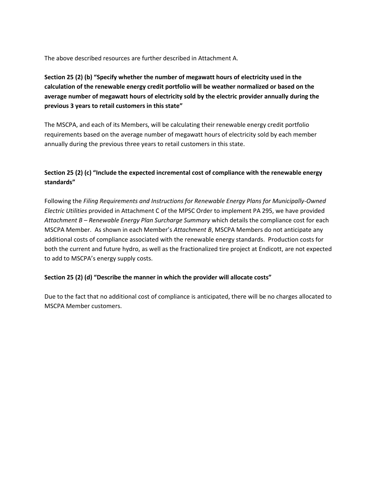The above described resources are further described in Attachment A.

**Section 25 (2) (b) "Specify whether the number of megawatt hours of electricity used in the calculation of the renewable energy credit portfolio will be weather normalized or based on the average number of megawatt hours of electricity sold by the electric provider annually during the previous 3 years to retail customers in this state"**

The MSCPA, and each of its Members, will be calculating their renewable energy credit portfolio requirements based on the average number of megawatt hours of electricity sold by each member annually during the previous three years to retail customers in this state.

## **Section 25 (2) (c) "Include the expected incremental cost of compliance with the renewable energy standards"**

Following the *Filing Requirements and Instructions for Renewable Energy Plans for Municipally-Owned Electric Utilities* provided in Attachment C of the MPSC Order to implement PA 295, we have provided *Attachment B – Renewable Energy Plan Surcharge Summary* which details the compliance cost for each MSCPA Member. As shown in each Member's *Attachment B*, MSCPA Members do not anticipate any additional costs of compliance associated with the renewable energy standards. Production costs for both the current and future hydro, as well as the fractionalized tire project at Endicott, are not expected to add to MSCPA's energy supply costs.

## **Section 25 (2) (d) "Describe the manner in which the provider will allocate costs"**

Due to the fact that no additional cost of compliance is anticipated, there will be no charges allocated to MSCPA Member customers.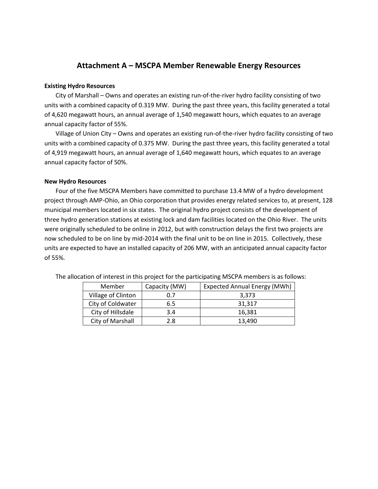## **Attachment A – MSCPA Member Renewable Energy Resources**

#### **Existing Hydro Resources**

City of Marshall – Owns and operates an existing run-of-the-river hydro facility consisting of two units with a combined capacity of 0.319 MW. During the past three years, this facility generated a total of 4,620 megawatt hours, an annual average of 1,540 megawatt hours, which equates to an average annual capacity factor of 55%.

Village of Union City – Owns and operates an existing run-of-the-river hydro facility consisting of two units with a combined capacity of 0.375 MW. During the past three years, this facility generated a total of 4,919 megawatt hours, an annual average of 1,640 megawatt hours, which equates to an average annual capacity factor of 50%.

#### **New Hydro Resources**

Four of the five MSCPA Members have committed to purchase 13.4 MW of a hydro development project through AMP-Ohio, an Ohio corporation that provides energy related services to, at present, 128 municipal members located in six states. The original hydro project consists of the development of three hydro generation stations at existing lock and dam facilities located on the Ohio River. The units were originally scheduled to be online in 2012, but with construction delays the first two projects are now scheduled to be on line by mid-2014 with the final unit to be on line in 2015. Collectively, these units are expected to have an installed capacity of 206 MW, with an anticipated annual capacity factor of 55%.

| Member             | Capacity (MW) | Expected Annual Energy (MWh) |
|--------------------|---------------|------------------------------|
| Village of Clinton | 0.7           | 3,373                        |
| City of Coldwater  | 6.5           | 31,317                       |
| City of Hillsdale  | 3.4           | 16,381                       |
| City of Marshall   | 2.8           | 13,490                       |

The allocation of interest in this project for the participating MSCPA members is as follows: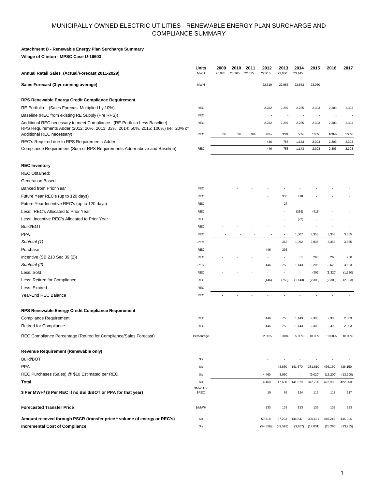#### **Attachment B - Renewable Energy Plan Surcharge Summary**

**Village of Clinton - MPSC Case U-16603**

| Annual Retail Sales (Actual/Forecast 2011-2029)                                                                                                                                           | Units<br><b>MWH</b> | 2009<br>20,978 | 2010<br>23,365           | 2011<br>22,615           | 2012<br>22,915 | 2013<br>23,030 | 2014<br>23,145 | 2015          | 2016          | 2017          |
|-------------------------------------------------------------------------------------------------------------------------------------------------------------------------------------------|---------------------|----------------|--------------------------|--------------------------|----------------|----------------|----------------|---------------|---------------|---------------|
| Sales Forecast (3-yr running average)                                                                                                                                                     | <b>MWH</b>          |                |                          |                          | 22,319         | 22,965         | 22,853         | 23,030        |               |               |
| RPS Renewable Energy Credit Compliance Requirement                                                                                                                                        |                     |                |                          |                          |                |                |                |               |               |               |
| RE Portfolio (Sales Forecast Multiplied by 10%)                                                                                                                                           | <b>REC</b>          |                |                          |                          | 2,232          | 2,297          | 2,285          | 2,303         | 2,303         | 2,303         |
| Baseline (REC from existing RE Supply (Pre RPS))                                                                                                                                          | <b>REC</b>          |                |                          |                          |                |                |                |               |               |               |
| Additional REC necessary to meet Compliance (RE Portfolio Less Baseline)<br>RPS Requirements Adder (2012: 20%, 2013: 33%, 2014: 50%, 2015: 100%) (ie: 20% of<br>Additional REC necessary) | REC<br><b>REC</b>   | 0%             | 0%                       | 0%                       | 2,232<br>20%   | 2,297<br>33%   | 2,285<br>50%   | 2,303<br>100% | 2,303<br>100% | 2,303<br>100% |
| REC's Required due to RPS Requirements Adder                                                                                                                                              |                     |                | $\overline{\phantom{a}}$ | ÷                        | 446            | 758            | 1,143          | 2,303         | 2,303         | 2,303         |
| Compliance Requirement (Sum of RPS Requirements Adder above and Baseline)                                                                                                                 | <b>REC</b>          |                |                          | $\overline{\phantom{a}}$ | 446            | 758            | 1,143          | 2,303         | 2,303         | 2,303         |
| <b>REC Inventory</b>                                                                                                                                                                      |                     |                |                          |                          |                |                |                |               |               |               |
| <b>REC Obtained:</b>                                                                                                                                                                      |                     |                |                          |                          |                |                |                |               |               |               |
| <b>Generation Based</b>                                                                                                                                                                   |                     |                |                          |                          |                |                |                |               |               |               |
| Banked from Prior Year                                                                                                                                                                    | <b>REC</b>          |                |                          |                          |                |                |                |               |               |               |
| Future Year REC's (up to 120 days)                                                                                                                                                        | <b>REC</b>          |                |                          |                          |                | 336            | 418            |               |               |               |
| Future Year Incentive REC's (up to 120 days)                                                                                                                                              | <b>REC</b>          |                |                          |                          |                | 27             |                |               |               |               |
| Less: REC's Allocated to Prior Year                                                                                                                                                       | <b>REC</b>          |                |                          |                          |                |                | (336)          | (418)         |               |               |
| Less: Incentive REC's Allocated to Prior Year                                                                                                                                             | <b>REC</b>          |                |                          |                          |                |                | (27)           |               |               |               |
| Build/BOT                                                                                                                                                                                 | <b>REC</b>          |                |                          |                          |                |                |                |               |               |               |
| <b>PPA</b>                                                                                                                                                                                | REC                 |                |                          |                          |                |                | 1,007          | 3,355         | 3,355         | 3,355         |
| Subtotal (1)                                                                                                                                                                              | <b>REC</b>          |                |                          |                          |                | 363            | 1,062          | 2,937         | 3,355         | 3,355         |
| Purchase                                                                                                                                                                                  | <b>REC</b>          |                |                          |                          | 446            | 395            |                |               |               |               |
| Incentive (SB 213 Sec 39 (2))                                                                                                                                                             | <b>REC</b>          |                |                          |                          | $\blacksquare$ |                | 81             | 268           | 268           | 268           |
| Subtotal (2)                                                                                                                                                                              | <b>REC</b>          |                |                          |                          | 446            | 758            | 1,143          | 3,205         | 3,623         | 3,623         |
| Less: Sold                                                                                                                                                                                | <b>REC</b>          |                |                          |                          |                |                |                | (902)         | (1, 320)      | (1, 320)      |
| Less: Retired for Compliance                                                                                                                                                              | <b>REC</b>          |                |                          |                          | (446)          | (758)          | (1, 143)       | (2, 303)      | (2, 303)      | (2, 303)      |
| Less: Expired                                                                                                                                                                             | <b>REC</b>          |                |                          |                          |                |                |                |               |               |               |
| Year-End REC Balance                                                                                                                                                                      | <b>REC</b>          |                |                          |                          |                |                |                |               |               |               |
| RPS Renewable Energy Credit Compliance Requirement                                                                                                                                        |                     |                |                          |                          |                |                |                |               |               |               |
| <b>Compliance Requirement</b>                                                                                                                                                             | REC                 |                |                          |                          | 446            | 758            | 1,143          | 2,303         | 2,303         | 2,303         |
| Retired for Compliance                                                                                                                                                                    | <b>REC</b>          |                |                          |                          | 446            | 758            | 1,143          | 2,303         | 2,303         | 2,303         |
| REC Compliance Percentage (Retired for Compliance/Sales Forecast)                                                                                                                         | Percentage          |                |                          |                          | 2.00%          | 3.30%          | 5.00%          | 10.00%        | 10.00%        | 10.00%        |
| Revenue Requirement (Renewable only)                                                                                                                                                      |                     |                |                          |                          |                |                |                |               |               |               |
| Build/BOT                                                                                                                                                                                 | S's                 |                |                          |                          |                |                |                |               |               |               |
| <b>PPA</b>                                                                                                                                                                                | s <sub>s</sub>      |                |                          |                          |                | 43,680         | 141,570        | 381,810       | 436,150       | 436,150       |
| REC Purchases (Sales) @ \$10 Estimated per REC                                                                                                                                            | S's                 |                |                          |                          | 4,460          | 3,950          |                | (9,020)       | (13,200)      | (13, 200)     |
| Total                                                                                                                                                                                     | S's                 |                |                          |                          | 4,460          | 47,630         | 141,570        | 372,790       | 422,950       | 422,950       |
| \$ Per MWH/ (\$ Per REC if no Build/BOT or PPA for that year)                                                                                                                             | \$MWH or<br>\$REC   |                |                          |                          | 10             | 63             | 124            | 116           | 117           | 117           |
| <b>Forecasted Transfer Price</b>                                                                                                                                                          | \$/MWH              |                |                          |                          | 133            | 133            | 133            | 133           | 133           | 133           |
| Amount recoved through PSCR (transfer price * volume of energy or REC's)                                                                                                                  | $$^{\circ}$ s       |                |                          |                          | 59,318         | 97,223         | 144,837        | 390,621       | 446,215       | 446,215       |
| <b>Incremental Cost of Compliance</b>                                                                                                                                                     | $$^{\circ}$ s       |                |                          |                          | (54, 858)      | (49, 593)      | (3,267)        | (17, 831)     | (23, 265)     | (23, 265)     |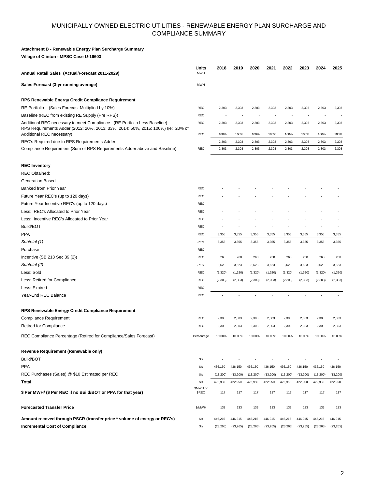#### **Attachment B - Renewable Energy Plan Surcharge Summary**

**Village of Clinton - MPSC Case U-16603**

| Annual Retail Sales (Actual/Forecast 2011-2029)                                                                                                                                           | Units<br><b>MWH</b>      | 2018                     | 2019                     | 2020                     | 2021                     | 2022                     | 2023                     | 2024                     | 2025          |
|-------------------------------------------------------------------------------------------------------------------------------------------------------------------------------------------|--------------------------|--------------------------|--------------------------|--------------------------|--------------------------|--------------------------|--------------------------|--------------------------|---------------|
| Sales Forecast (3-yr running average)                                                                                                                                                     | <b>MWH</b>               |                          |                          |                          |                          |                          |                          |                          |               |
| RPS Renewable Energy Credit Compliance Requirement                                                                                                                                        |                          |                          |                          |                          |                          |                          |                          |                          |               |
| RE Portfolio (Sales Forecast Multiplied by 10%)                                                                                                                                           | REC                      | 2,303                    | 2,303                    | 2,303                    | 2,303                    | 2,303                    | 2,303                    | 2,303                    | 2,303         |
| Baseline (REC from existing RE Supply (Pre RPS))                                                                                                                                          | <b>REC</b>               | $\overline{\phantom{a}}$ | $\overline{\phantom{a}}$ |                          |                          | $\overline{\phantom{a}}$ | $\overline{\phantom{a}}$ | $\overline{\phantom{a}}$ |               |
| Additional REC necessary to meet Compliance (RE Portfolio Less Baseline)<br>RPS Requirements Adder (2012: 20%, 2013: 33%, 2014: 50%, 2015: 100%) (ie: 20% of<br>Additional REC necessary) | <b>REC</b><br><b>REC</b> | 2,303<br>100%            | 2,303<br>100%            | 2,303<br>100%            | 2,303<br>100%            | 2,303<br>100%            | 2,303<br>100%            | 2,303<br>100%            | 2,303<br>100% |
| REC's Required due to RPS Requirements Adder                                                                                                                                              |                          | 2,303                    | 2,303                    | 2,303                    | 2,303                    |                          |                          | 2,303                    | 2,303         |
| Compliance Requirement (Sum of RPS Requirements Adder above and Baseline)                                                                                                                 | <b>REC</b>               | 2,303                    | 2,303                    | 2,303                    | 2,303                    | 2,303<br>2,303           | 2,303<br>2,303           | 2,303                    | 2,303         |
|                                                                                                                                                                                           |                          |                          |                          |                          |                          |                          |                          |                          |               |
| <b>REC Inventory</b>                                                                                                                                                                      |                          |                          |                          |                          |                          |                          |                          |                          |               |
| <b>REC Obtained:</b>                                                                                                                                                                      |                          |                          |                          |                          |                          |                          |                          |                          |               |
| <b>Generation Based</b>                                                                                                                                                                   |                          |                          |                          |                          |                          |                          |                          |                          |               |
| Banked from Prior Year                                                                                                                                                                    | <b>REC</b>               |                          |                          |                          |                          |                          |                          |                          |               |
| Future Year REC's (up to 120 days)                                                                                                                                                        | <b>REC</b>               |                          |                          |                          |                          |                          |                          |                          |               |
| Future Year Incentive REC's (up to 120 days)                                                                                                                                              | REC                      |                          |                          |                          |                          |                          |                          |                          |               |
| Less: REC's Allocated to Prior Year                                                                                                                                                       | REC                      |                          |                          |                          |                          |                          |                          |                          |               |
| Less: Incentive REC's Allocated to Prior Year                                                                                                                                             | <b>REC</b>               |                          |                          |                          |                          |                          |                          |                          |               |
| Build/BOT                                                                                                                                                                                 | <b>REC</b>               |                          |                          |                          |                          |                          |                          |                          |               |
| <b>PPA</b>                                                                                                                                                                                | <b>REC</b>               | 3,355                    | 3,355                    | 3,355                    | 3,355                    | 3,355                    | 3,355                    | 3,355                    | 3,355         |
| Subtotal (1)                                                                                                                                                                              | <b>REC</b>               | 3,355                    | 3,355                    | 3,355                    | 3,355                    | 3,355                    | 3,355                    | 3,355                    | 3,355         |
| Purchase                                                                                                                                                                                  | <b>REC</b>               |                          |                          |                          |                          |                          |                          |                          |               |
| Incentive (SB 213 Sec 39 (2))                                                                                                                                                             | <b>REC</b>               | 268                      | 268                      | 268                      | 268                      | 268                      | 268                      | 268                      | 268           |
| Subtotal (2)                                                                                                                                                                              | <b>REC</b>               | 3,623                    | 3,623                    | 3,623                    | 3,623                    | 3,623                    | 3,623                    | 3,623                    | 3,623         |
| Less: Sold                                                                                                                                                                                | REC                      | (1, 320)                 | (1, 320)                 | (1,320)                  | (1,320)                  | (1, 320)                 | (1, 320)                 | (1,320)                  | (1,320)       |
| Less: Retired for Compliance                                                                                                                                                              | <b>REC</b>               | (2, 303)                 | (2, 303)                 | (2, 303)                 | (2, 303)                 | (2, 303)                 | (2, 303)                 | (2, 303)                 | (2, 303)      |
| Less: Expired                                                                                                                                                                             | <b>REC</b>               | $\overline{\phantom{a}}$ | $\sim$                   | $\overline{\phantom{a}}$ | $\overline{\phantom{a}}$ | $\overline{\phantom{a}}$ | $\overline{\phantom{a}}$ | ٠                        |               |
| Year-End REC Balance                                                                                                                                                                      | REC                      |                          |                          |                          |                          |                          |                          |                          |               |
| RPS Renewable Energy Credit Compliance Requirement                                                                                                                                        |                          |                          |                          |                          |                          |                          |                          |                          |               |
| <b>Compliance Requirement</b>                                                                                                                                                             | <b>REC</b>               | 2,303                    | 2,303                    | 2,303                    | 2,303                    | 2,303                    | 2,303                    | 2,303                    | 2,303         |
| <b>Retired for Compliance</b>                                                                                                                                                             | <b>REC</b>               | 2,303                    | 2,303                    | 2,303                    | 2,303                    | 2,303                    | 2,303                    | 2,303                    | 2,303         |
| REC Compliance Percentage (Retired for Compliance/Sales Forecast)                                                                                                                         | Percentage               | 10.00%                   | 10.00%                   | 10.00%                   | 10.00%                   | 10.00%                   | 10.00%                   | 10.00%                   | 10.00%        |
| Revenue Requirement (Renewable only)                                                                                                                                                      |                          |                          |                          |                          |                          |                          |                          |                          |               |
| Build/BOT                                                                                                                                                                                 | $s$ 's                   |                          |                          |                          |                          |                          |                          |                          |               |
| <b>PPA</b>                                                                                                                                                                                | $s$ 's                   | 436,150                  | 436,150                  | 436,150                  | 436,150                  | 436,150                  | 436,150                  | 436,150                  | 436,150       |
| REC Purchases (Sales) @ \$10 Estimated per REC                                                                                                                                            | S's                      | (13,200)                 | (13, 200)                | (13,200)                 | (13,200)                 | (13, 200)                | (13,200)                 | (13, 200)                | (13, 200)     |
| Total                                                                                                                                                                                     | S's                      | 422,950                  | 422,950                  | 422,950                  | 422,950                  | 422,950                  | 422,950                  | 422,950                  | 422,950       |
| \$ Per MWH/ (\$ Per REC if no Build/BOT or PPA for that year)                                                                                                                             | \$MWH or<br>\$REC        | 117                      | 117                      | 117                      | 117                      | 117                      | 117                      | 117                      | 117           |
| <b>Forecasted Transfer Price</b>                                                                                                                                                          | \$/MWH                   | 133                      | 133                      | 133                      | 133                      | 133                      | 133                      | 133                      | 133           |
| Amount recoved through PSCR (transfer price * volume of energy or REC's)                                                                                                                  | S's                      | 446,215                  | 446,215                  | 446,215                  | 446,215                  | 446,215                  | 446,215                  | 446,215                  | 446,215       |
| <b>Incremental Cost of Compliance</b>                                                                                                                                                     | $s$ 's                   | (23, 265)                | (23, 265)                | (23, 265)                | (23, 265)                | (23, 265)                | (23, 265)                | (23, 265)                | (23, 265)     |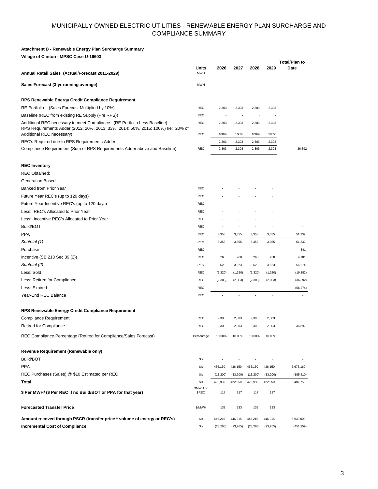#### **Attachment B - Renewable Energy Plan Surcharge Summary**

**Village of Clinton - MPSC Case U-16603**

| Sales Forecast (3-yr running average)<br><b>MWH</b><br>RPS Renewable Energy Credit Compliance Requirement<br>RE Portfolio (Sales Forecast Multiplied by 10%)<br><b>REC</b><br>2,303<br>2,303<br>2,303<br>2,303<br>Baseline (REC from existing RE Supply (Pre RPS))<br><b>REC</b><br>$\overline{\phantom{a}}$<br>Additional REC necessary to meet Compliance (RE Portfolio Less Baseline)<br><b>REC</b><br>2,303<br>2,303<br>2,303<br>2,303<br>RPS Requirements Adder (2012: 20%, 2013: 33%, 2014: 50%, 2015: 100%) (ie: 20% of<br>Additional REC necessary)<br><b>REC</b><br>100%<br>100%<br>100%<br>100%<br>REC's Required due to RPS Requirements Adder<br>2,303<br>2,303<br>2,303<br>2,303<br>Compliance Requirement (Sum of RPS Requirements Adder above and Baseline)<br><b>REC</b><br>2,303<br>2,303<br>2,303<br>2,303<br><b>REC Inventory</b><br><b>REC Obtained:</b><br><b>Generation Based</b><br>Banked from Prior Year<br><b>REC</b><br>Future Year REC's (up to 120 days)<br><b>REC</b><br>Future Year Incentive REC's (up to 120 days)<br><b>REC</b><br>Less: REC's Allocated to Prior Year<br><b>REC</b><br>Less: Incentive REC's Allocated to Prior Year<br><b>REC</b><br>Build/BOT<br><b>REC</b><br><b>PPA</b><br><b>REC</b><br>3,355<br>3,355<br>3,355<br>3,355<br>Subtotal (1)<br><b>REC</b><br>3,355<br>3,355<br>3,355<br>3,355<br>Purchase<br><b>REC</b><br>٠<br>$\overline{a}$<br>$\overline{\phantom{a}}$<br>Incentive (SB 213 Sec 39 (2))<br><b>REC</b><br>268<br>268<br>268<br>268<br>Subtotal (2)<br><b>REC</b><br>3,623<br>3,623<br>3,623<br>3,623<br>Less: Sold<br><b>REC</b><br>(1, 320)<br>(1,320)<br>(1,320)<br>(1,320)<br>Less: Retired for Compliance<br><b>REC</b><br>(2, 303)<br>(2, 303)<br>(2, 303)<br>(2, 303)<br>Less: Expired<br>REC<br>Year-End REC Balance<br><b>REC</b><br><b>RPS Renewable Energy Credit Compliance Requirement</b><br><b>Compliance Requirement</b><br><b>REC</b><br>2,303<br>2,303<br>2,303<br>2,303<br>Retired for Compliance<br><b>REC</b><br>2,303<br>2,303<br>2,303<br>2,303<br>36,892<br>REC Compliance Percentage (Retired for Compliance/Sales Forecast)<br>10.00%<br>10.00%<br>10.00%<br>10.00%<br>Percentage<br>Revenue Requirement (Renewable only)<br>Build/BOT<br>S's<br><b>PPA</b><br>$$^{\circ}\text{s}$<br>436,150<br>436,150<br>436,150<br>436,150 | Annual Retail Sales (Actual/Forecast 2011-2029) | <b>Units</b><br><b>MWH</b> | 2026      | 2027     | 2028     | 2029     | <b>Total/Plan to</b><br>Date |
|---------------------------------------------------------------------------------------------------------------------------------------------------------------------------------------------------------------------------------------------------------------------------------------------------------------------------------------------------------------------------------------------------------------------------------------------------------------------------------------------------------------------------------------------------------------------------------------------------------------------------------------------------------------------------------------------------------------------------------------------------------------------------------------------------------------------------------------------------------------------------------------------------------------------------------------------------------------------------------------------------------------------------------------------------------------------------------------------------------------------------------------------------------------------------------------------------------------------------------------------------------------------------------------------------------------------------------------------------------------------------------------------------------------------------------------------------------------------------------------------------------------------------------------------------------------------------------------------------------------------------------------------------------------------------------------------------------------------------------------------------------------------------------------------------------------------------------------------------------------------------------------------------------------------------------------------------------------------------------------------------------------------------------------------------------------------------------------------------------------------------------------------------------------------------------------------------------------------------------------------------------------------------------------------------------------------------------|-------------------------------------------------|----------------------------|-----------|----------|----------|----------|------------------------------|
|                                                                                                                                                                                                                                                                                                                                                                                                                                                                                                                                                                                                                                                                                                                                                                                                                                                                                                                                                                                                                                                                                                                                                                                                                                                                                                                                                                                                                                                                                                                                                                                                                                                                                                                                                                                                                                                                                                                                                                                                                                                                                                                                                                                                                                                                                                                                 |                                                 |                            |           |          |          |          |                              |
|                                                                                                                                                                                                                                                                                                                                                                                                                                                                                                                                                                                                                                                                                                                                                                                                                                                                                                                                                                                                                                                                                                                                                                                                                                                                                                                                                                                                                                                                                                                                                                                                                                                                                                                                                                                                                                                                                                                                                                                                                                                                                                                                                                                                                                                                                                                                 |                                                 |                            |           |          |          |          |                              |
|                                                                                                                                                                                                                                                                                                                                                                                                                                                                                                                                                                                                                                                                                                                                                                                                                                                                                                                                                                                                                                                                                                                                                                                                                                                                                                                                                                                                                                                                                                                                                                                                                                                                                                                                                                                                                                                                                                                                                                                                                                                                                                                                                                                                                                                                                                                                 |                                                 |                            |           |          |          |          |                              |
|                                                                                                                                                                                                                                                                                                                                                                                                                                                                                                                                                                                                                                                                                                                                                                                                                                                                                                                                                                                                                                                                                                                                                                                                                                                                                                                                                                                                                                                                                                                                                                                                                                                                                                                                                                                                                                                                                                                                                                                                                                                                                                                                                                                                                                                                                                                                 |                                                 |                            |           |          |          |          |                              |
|                                                                                                                                                                                                                                                                                                                                                                                                                                                                                                                                                                                                                                                                                                                                                                                                                                                                                                                                                                                                                                                                                                                                                                                                                                                                                                                                                                                                                                                                                                                                                                                                                                                                                                                                                                                                                                                                                                                                                                                                                                                                                                                                                                                                                                                                                                                                 |                                                 |                            |           |          |          |          |                              |
|                                                                                                                                                                                                                                                                                                                                                                                                                                                                                                                                                                                                                                                                                                                                                                                                                                                                                                                                                                                                                                                                                                                                                                                                                                                                                                                                                                                                                                                                                                                                                                                                                                                                                                                                                                                                                                                                                                                                                                                                                                                                                                                                                                                                                                                                                                                                 |                                                 |                            |           |          |          |          |                              |
|                                                                                                                                                                                                                                                                                                                                                                                                                                                                                                                                                                                                                                                                                                                                                                                                                                                                                                                                                                                                                                                                                                                                                                                                                                                                                                                                                                                                                                                                                                                                                                                                                                                                                                                                                                                                                                                                                                                                                                                                                                                                                                                                                                                                                                                                                                                                 |                                                 |                            |           |          |          |          |                              |
|                                                                                                                                                                                                                                                                                                                                                                                                                                                                                                                                                                                                                                                                                                                                                                                                                                                                                                                                                                                                                                                                                                                                                                                                                                                                                                                                                                                                                                                                                                                                                                                                                                                                                                                                                                                                                                                                                                                                                                                                                                                                                                                                                                                                                                                                                                                                 |                                                 |                            |           |          |          |          | 36,892                       |
|                                                                                                                                                                                                                                                                                                                                                                                                                                                                                                                                                                                                                                                                                                                                                                                                                                                                                                                                                                                                                                                                                                                                                                                                                                                                                                                                                                                                                                                                                                                                                                                                                                                                                                                                                                                                                                                                                                                                                                                                                                                                                                                                                                                                                                                                                                                                 |                                                 |                            |           |          |          |          |                              |
|                                                                                                                                                                                                                                                                                                                                                                                                                                                                                                                                                                                                                                                                                                                                                                                                                                                                                                                                                                                                                                                                                                                                                                                                                                                                                                                                                                                                                                                                                                                                                                                                                                                                                                                                                                                                                                                                                                                                                                                                                                                                                                                                                                                                                                                                                                                                 |                                                 |                            |           |          |          |          |                              |
|                                                                                                                                                                                                                                                                                                                                                                                                                                                                                                                                                                                                                                                                                                                                                                                                                                                                                                                                                                                                                                                                                                                                                                                                                                                                                                                                                                                                                                                                                                                                                                                                                                                                                                                                                                                                                                                                                                                                                                                                                                                                                                                                                                                                                                                                                                                                 |                                                 |                            |           |          |          |          |                              |
|                                                                                                                                                                                                                                                                                                                                                                                                                                                                                                                                                                                                                                                                                                                                                                                                                                                                                                                                                                                                                                                                                                                                                                                                                                                                                                                                                                                                                                                                                                                                                                                                                                                                                                                                                                                                                                                                                                                                                                                                                                                                                                                                                                                                                                                                                                                                 |                                                 |                            |           |          |          |          |                              |
|                                                                                                                                                                                                                                                                                                                                                                                                                                                                                                                                                                                                                                                                                                                                                                                                                                                                                                                                                                                                                                                                                                                                                                                                                                                                                                                                                                                                                                                                                                                                                                                                                                                                                                                                                                                                                                                                                                                                                                                                                                                                                                                                                                                                                                                                                                                                 |                                                 |                            |           |          |          |          |                              |
|                                                                                                                                                                                                                                                                                                                                                                                                                                                                                                                                                                                                                                                                                                                                                                                                                                                                                                                                                                                                                                                                                                                                                                                                                                                                                                                                                                                                                                                                                                                                                                                                                                                                                                                                                                                                                                                                                                                                                                                                                                                                                                                                                                                                                                                                                                                                 |                                                 |                            |           |          |          |          |                              |
|                                                                                                                                                                                                                                                                                                                                                                                                                                                                                                                                                                                                                                                                                                                                                                                                                                                                                                                                                                                                                                                                                                                                                                                                                                                                                                                                                                                                                                                                                                                                                                                                                                                                                                                                                                                                                                                                                                                                                                                                                                                                                                                                                                                                                                                                                                                                 |                                                 |                            |           |          |          |          |                              |
|                                                                                                                                                                                                                                                                                                                                                                                                                                                                                                                                                                                                                                                                                                                                                                                                                                                                                                                                                                                                                                                                                                                                                                                                                                                                                                                                                                                                                                                                                                                                                                                                                                                                                                                                                                                                                                                                                                                                                                                                                                                                                                                                                                                                                                                                                                                                 |                                                 |                            |           |          |          |          |                              |
|                                                                                                                                                                                                                                                                                                                                                                                                                                                                                                                                                                                                                                                                                                                                                                                                                                                                                                                                                                                                                                                                                                                                                                                                                                                                                                                                                                                                                                                                                                                                                                                                                                                                                                                                                                                                                                                                                                                                                                                                                                                                                                                                                                                                                                                                                                                                 |                                                 |                            |           |          |          |          |                              |
|                                                                                                                                                                                                                                                                                                                                                                                                                                                                                                                                                                                                                                                                                                                                                                                                                                                                                                                                                                                                                                                                                                                                                                                                                                                                                                                                                                                                                                                                                                                                                                                                                                                                                                                                                                                                                                                                                                                                                                                                                                                                                                                                                                                                                                                                                                                                 |                                                 |                            |           |          |          |          | 51,332                       |
|                                                                                                                                                                                                                                                                                                                                                                                                                                                                                                                                                                                                                                                                                                                                                                                                                                                                                                                                                                                                                                                                                                                                                                                                                                                                                                                                                                                                                                                                                                                                                                                                                                                                                                                                                                                                                                                                                                                                                                                                                                                                                                                                                                                                                                                                                                                                 |                                                 |                            |           |          |          |          | 51,332                       |
|                                                                                                                                                                                                                                                                                                                                                                                                                                                                                                                                                                                                                                                                                                                                                                                                                                                                                                                                                                                                                                                                                                                                                                                                                                                                                                                                                                                                                                                                                                                                                                                                                                                                                                                                                                                                                                                                                                                                                                                                                                                                                                                                                                                                                                                                                                                                 |                                                 |                            |           |          |          |          | 841                          |
|                                                                                                                                                                                                                                                                                                                                                                                                                                                                                                                                                                                                                                                                                                                                                                                                                                                                                                                                                                                                                                                                                                                                                                                                                                                                                                                                                                                                                                                                                                                                                                                                                                                                                                                                                                                                                                                                                                                                                                                                                                                                                                                                                                                                                                                                                                                                 |                                                 |                            |           |          |          |          | 4,101                        |
|                                                                                                                                                                                                                                                                                                                                                                                                                                                                                                                                                                                                                                                                                                                                                                                                                                                                                                                                                                                                                                                                                                                                                                                                                                                                                                                                                                                                                                                                                                                                                                                                                                                                                                                                                                                                                                                                                                                                                                                                                                                                                                                                                                                                                                                                                                                                 |                                                 |                            |           |          |          |          | 56,274                       |
|                                                                                                                                                                                                                                                                                                                                                                                                                                                                                                                                                                                                                                                                                                                                                                                                                                                                                                                                                                                                                                                                                                                                                                                                                                                                                                                                                                                                                                                                                                                                                                                                                                                                                                                                                                                                                                                                                                                                                                                                                                                                                                                                                                                                                                                                                                                                 |                                                 |                            |           |          |          |          | (19, 382)                    |
|                                                                                                                                                                                                                                                                                                                                                                                                                                                                                                                                                                                                                                                                                                                                                                                                                                                                                                                                                                                                                                                                                                                                                                                                                                                                                                                                                                                                                                                                                                                                                                                                                                                                                                                                                                                                                                                                                                                                                                                                                                                                                                                                                                                                                                                                                                                                 |                                                 |                            |           |          |          |          | (36, 892)                    |
|                                                                                                                                                                                                                                                                                                                                                                                                                                                                                                                                                                                                                                                                                                                                                                                                                                                                                                                                                                                                                                                                                                                                                                                                                                                                                                                                                                                                                                                                                                                                                                                                                                                                                                                                                                                                                                                                                                                                                                                                                                                                                                                                                                                                                                                                                                                                 |                                                 |                            |           |          |          |          | (56, 274)                    |
|                                                                                                                                                                                                                                                                                                                                                                                                                                                                                                                                                                                                                                                                                                                                                                                                                                                                                                                                                                                                                                                                                                                                                                                                                                                                                                                                                                                                                                                                                                                                                                                                                                                                                                                                                                                                                                                                                                                                                                                                                                                                                                                                                                                                                                                                                                                                 |                                                 |                            |           |          |          |          |                              |
|                                                                                                                                                                                                                                                                                                                                                                                                                                                                                                                                                                                                                                                                                                                                                                                                                                                                                                                                                                                                                                                                                                                                                                                                                                                                                                                                                                                                                                                                                                                                                                                                                                                                                                                                                                                                                                                                                                                                                                                                                                                                                                                                                                                                                                                                                                                                 |                                                 |                            |           |          |          |          |                              |
|                                                                                                                                                                                                                                                                                                                                                                                                                                                                                                                                                                                                                                                                                                                                                                                                                                                                                                                                                                                                                                                                                                                                                                                                                                                                                                                                                                                                                                                                                                                                                                                                                                                                                                                                                                                                                                                                                                                                                                                                                                                                                                                                                                                                                                                                                                                                 |                                                 |                            |           |          |          |          |                              |
|                                                                                                                                                                                                                                                                                                                                                                                                                                                                                                                                                                                                                                                                                                                                                                                                                                                                                                                                                                                                                                                                                                                                                                                                                                                                                                                                                                                                                                                                                                                                                                                                                                                                                                                                                                                                                                                                                                                                                                                                                                                                                                                                                                                                                                                                                                                                 |                                                 |                            |           |          |          |          |                              |
|                                                                                                                                                                                                                                                                                                                                                                                                                                                                                                                                                                                                                                                                                                                                                                                                                                                                                                                                                                                                                                                                                                                                                                                                                                                                                                                                                                                                                                                                                                                                                                                                                                                                                                                                                                                                                                                                                                                                                                                                                                                                                                                                                                                                                                                                                                                                 |                                                 |                            |           |          |          |          |                              |
|                                                                                                                                                                                                                                                                                                                                                                                                                                                                                                                                                                                                                                                                                                                                                                                                                                                                                                                                                                                                                                                                                                                                                                                                                                                                                                                                                                                                                                                                                                                                                                                                                                                                                                                                                                                                                                                                                                                                                                                                                                                                                                                                                                                                                                                                                                                                 |                                                 |                            |           |          |          |          |                              |
|                                                                                                                                                                                                                                                                                                                                                                                                                                                                                                                                                                                                                                                                                                                                                                                                                                                                                                                                                                                                                                                                                                                                                                                                                                                                                                                                                                                                                                                                                                                                                                                                                                                                                                                                                                                                                                                                                                                                                                                                                                                                                                                                                                                                                                                                                                                                 |                                                 |                            |           |          |          |          |                              |
|                                                                                                                                                                                                                                                                                                                                                                                                                                                                                                                                                                                                                                                                                                                                                                                                                                                                                                                                                                                                                                                                                                                                                                                                                                                                                                                                                                                                                                                                                                                                                                                                                                                                                                                                                                                                                                                                                                                                                                                                                                                                                                                                                                                                                                                                                                                                 |                                                 |                            |           |          |          |          |                              |
|                                                                                                                                                                                                                                                                                                                                                                                                                                                                                                                                                                                                                                                                                                                                                                                                                                                                                                                                                                                                                                                                                                                                                                                                                                                                                                                                                                                                                                                                                                                                                                                                                                                                                                                                                                                                                                                                                                                                                                                                                                                                                                                                                                                                                                                                                                                                 |                                                 |                            |           |          |          |          | 6,673,160                    |
|                                                                                                                                                                                                                                                                                                                                                                                                                                                                                                                                                                                                                                                                                                                                                                                                                                                                                                                                                                                                                                                                                                                                                                                                                                                                                                                                                                                                                                                                                                                                                                                                                                                                                                                                                                                                                                                                                                                                                                                                                                                                                                                                                                                                                                                                                                                                 | REC Purchases (Sales) @ \$10 Estimated per REC  | $$^{\prime}$ s             | (13, 200) | (13,200) | (13,200) | (13,200) | (185, 410)                   |
| Total<br>S's<br>422,950<br>422,950<br>422,950<br>422,950                                                                                                                                                                                                                                                                                                                                                                                                                                                                                                                                                                                                                                                                                                                                                                                                                                                                                                                                                                                                                                                                                                                                                                                                                                                                                                                                                                                                                                                                                                                                                                                                                                                                                                                                                                                                                                                                                                                                                                                                                                                                                                                                                                                                                                                                        |                                                 |                            |           |          |          |          | 6,487,750                    |
| \$MWH or<br>\$ Per MWH/ (\$ Per REC if no Build/BOT or PPA for that year)<br>\$REC<br>117<br>117<br>117<br>117                                                                                                                                                                                                                                                                                                                                                                                                                                                                                                                                                                                                                                                                                                                                                                                                                                                                                                                                                                                                                                                                                                                                                                                                                                                                                                                                                                                                                                                                                                                                                                                                                                                                                                                                                                                                                                                                                                                                                                                                                                                                                                                                                                                                                  |                                                 |                            |           |          |          |          |                              |
| <b>Forecasted Transfer Price</b><br>\$/MWH<br>133<br>133<br>133<br>133                                                                                                                                                                                                                                                                                                                                                                                                                                                                                                                                                                                                                                                                                                                                                                                                                                                                                                                                                                                                                                                                                                                                                                                                                                                                                                                                                                                                                                                                                                                                                                                                                                                                                                                                                                                                                                                                                                                                                                                                                                                                                                                                                                                                                                                          |                                                 |                            |           |          |          |          |                              |
| Amount recoved through PSCR (transfer price * volume of energy or REC's)<br>$s$ 's<br>446,215<br>446,215<br>446,215<br>446,215                                                                                                                                                                                                                                                                                                                                                                                                                                                                                                                                                                                                                                                                                                                                                                                                                                                                                                                                                                                                                                                                                                                                                                                                                                                                                                                                                                                                                                                                                                                                                                                                                                                                                                                                                                                                                                                                                                                                                                                                                                                                                                                                                                                                  |                                                 |                            |           |          |          |          | 6,939,009                    |
| <b>Incremental Cost of Compliance</b><br>\$'s<br>(23, 265)<br>(23, 265)<br>(23, 265)<br>(23, 265)                                                                                                                                                                                                                                                                                                                                                                                                                                                                                                                                                                                                                                                                                                                                                                                                                                                                                                                                                                                                                                                                                                                                                                                                                                                                                                                                                                                                                                                                                                                                                                                                                                                                                                                                                                                                                                                                                                                                                                                                                                                                                                                                                                                                                               |                                                 |                            |           |          |          |          | (451, 259)                   |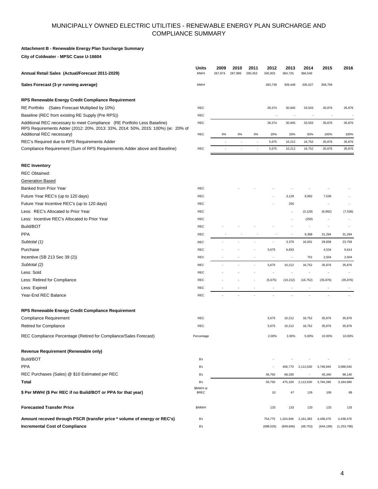#### **Attachment B - Renewable Energy Plan Surcharge Summary**

**City of Coldwater - MPSC Case U-16604**

| Annual Retail Sales (Actual/Forecast 2011-2029)                                                                                                                                           | Units<br><b>MWH</b>      | 2009<br>267,874 | 2010<br>287,989 | 2011<br>295,353 | 2012<br>345,003          | 2013<br>364,725          | 2014<br>366,549          | 2015                     | 2016             |
|-------------------------------------------------------------------------------------------------------------------------------------------------------------------------------------------|--------------------------|-----------------|-----------------|-----------------|--------------------------|--------------------------|--------------------------|--------------------------|------------------|
| Sales Forecast (3-yr running average)                                                                                                                                                     | <b>MWH</b>               |                 |                 |                 | 283,739                  | 309,448                  | 335,027                  | 358,759                  |                  |
| RPS Renewable Energy Credit Compliance Requirement                                                                                                                                        |                          |                 |                 |                 |                          |                          |                          |                          |                  |
| RE Portfolio (Sales Forecast Multiplied by 10%)                                                                                                                                           | <b>REC</b>               |                 |                 |                 | 28,374                   | 30,945                   | 33,503                   | 35,876                   | 35,876           |
| Baseline (REC from existing RE Supply (Pre RPS))                                                                                                                                          | <b>REC</b>               |                 |                 |                 | $\overline{\phantom{a}}$ |                          |                          | $\overline{\phantom{a}}$ |                  |
| Additional REC necessary to meet Compliance (RE Portfolio Less Baseline)<br>RPS Requirements Adder (2012: 20%, 2013: 33%, 2014: 50%, 2015: 100%) (ie: 20% of<br>Additional REC necessary) | <b>REC</b><br><b>REC</b> | 0%              | $0\%$           | $0\%$           | 28,374<br>20%            | 30,945<br>33%            | 33,503<br>50%            | 35,876<br>100%           | 35,876<br>100%   |
|                                                                                                                                                                                           |                          |                 |                 |                 |                          |                          |                          |                          |                  |
| REC's Required due to RPS Requirements Adder<br>Compliance Requirement (Sum of RPS Requirements Adder above and Baseline)                                                                 | <b>REC</b>               |                 |                 |                 | 5,675<br>5,675           | 10,212<br>10,212         | 16,752<br>16,752         | 35,876<br>35,876         | 35,876<br>35,876 |
|                                                                                                                                                                                           |                          |                 |                 |                 |                          |                          |                          |                          |                  |
| <b>REC Inventory</b>                                                                                                                                                                      |                          |                 |                 |                 |                          |                          |                          |                          |                  |
| <b>REC Obtained:</b>                                                                                                                                                                      |                          |                 |                 |                 |                          |                          |                          |                          |                  |
| <b>Generation Based</b>                                                                                                                                                                   |                          |                 |                 |                 |                          |                          |                          |                          |                  |
| Banked from Prior Year                                                                                                                                                                    | <b>REC</b>               |                 |                 |                 |                          |                          |                          |                          |                  |
| Future Year REC's (up to 120 days)                                                                                                                                                        | <b>REC</b>               |                 |                 |                 |                          | 3,129                    | 9,992                    | 7,536                    |                  |
| Future Year Incentive REC's (up to 120 days)                                                                                                                                              | REC                      |                 |                 |                 |                          | 250                      |                          | $\overline{\phantom{a}}$ |                  |
| Less: REC's Allocated to Prior Year                                                                                                                                                       | <b>REC</b>               |                 |                 |                 |                          |                          | (3, 129)                 | (9,992)                  | (7, 536)         |
| Less: Incentive REC's Allocated to Prior Year                                                                                                                                             | <b>REC</b>               |                 |                 |                 |                          |                          | (250)                    |                          |                  |
| Build/BOT                                                                                                                                                                                 | <b>REC</b>               |                 |                 |                 |                          |                          |                          |                          |                  |
| <b>PPA</b>                                                                                                                                                                                | <b>REC</b>               |                 |                 |                 |                          |                          | 9,388                    | 31,294                   | 31,294           |
| Subtotal (1)                                                                                                                                                                              | <b>REC</b>               |                 |                 |                 |                          | 3,379                    | 16,001                   | 28,838                   | 23,758           |
| Purchase                                                                                                                                                                                  | <b>REC</b>               |                 |                 |                 | 5,675                    | 6,833                    |                          | 4,534                    | 9,614            |
| Incentive (SB 213 Sec 39 (2))                                                                                                                                                             | <b>REC</b>               |                 |                 |                 |                          |                          | 751                      | 2,504                    | 2,504            |
| Subtotal (2)                                                                                                                                                                              | <b>REC</b>               |                 |                 | ÷,              | 5,675                    | 10,212                   | 16,752                   | 35,876                   | 35,876           |
| Less: Sold                                                                                                                                                                                | <b>REC</b>               |                 |                 |                 |                          |                          |                          |                          |                  |
| Less: Retired for Compliance                                                                                                                                                              | <b>REC</b>               |                 |                 |                 | (5,675)                  | (10, 212)                | (16, 752)                | (35, 876)                | (35, 876)        |
| Less: Expired                                                                                                                                                                             | <b>REC</b>               |                 |                 | $\overline{a}$  | $\overline{\phantom{a}}$ | $\overline{\phantom{a}}$ | $\overline{\phantom{a}}$ | ÷                        |                  |
| Year-End REC Balance                                                                                                                                                                      | REC                      |                 |                 |                 |                          |                          |                          |                          |                  |
| RPS Renewable Energy Credit Compliance Requirement                                                                                                                                        |                          |                 |                 |                 |                          |                          |                          |                          |                  |
| <b>Compliance Requirement</b>                                                                                                                                                             | <b>REC</b>               |                 |                 |                 | 5,675                    | 10,212                   | 16,752                   | 35,876                   | 35,876           |
| <b>Retired for Compliance</b>                                                                                                                                                             | REC                      |                 |                 |                 | 5,675                    | 10,212                   | 16,752                   | 35,876                   | 35,876           |
| REC Compliance Percentage (Retired for Compliance/Sales Forecast)                                                                                                                         | Percentage               |                 |                 |                 | 2.00%                    | 3.30%                    | 5.00%                    | 10.00%                   | 10.00%           |
| Revenue Requirement (Renewable only)                                                                                                                                                      |                          |                 |                 |                 |                          |                          |                          |                          |                  |
| Build/BOT                                                                                                                                                                                 | S's                      |                 |                 |                 |                          |                          |                          |                          |                  |
| <b>PPA</b>                                                                                                                                                                                | S's                      |                 |                 |                 |                          | 406,770                  | 2,112,630                | 3,748,940                | 3,088,540        |
| REC Purchases (Sales) @ \$10 Estimated per REC                                                                                                                                            | S's                      |                 |                 |                 | 56,750                   | 68,330                   |                          | 45,340                   | 96,140           |
| Total                                                                                                                                                                                     | $s$ 's                   |                 |                 |                 | 56,750                   | 475,100                  | 2,112,630                | 3,794,280                | 3,184,680        |
| \$ Per MWH/ (\$ Per REC if no Build/BOT or PPA for that year)                                                                                                                             | \$MWH or<br>\$REC        |                 |                 |                 | 10                       | 47                       | 126                      | 106                      | 89               |
|                                                                                                                                                                                           |                          |                 |                 |                 |                          |                          |                          |                          |                  |
| <b>Forecasted Transfer Price</b>                                                                                                                                                          | \$/MWH                   |                 |                 |                 | 133                      | 133                      | 133                      | 133                      | 133              |
| Amount recoved through PSCR (transfer price * volume of energy or REC's)                                                                                                                  | S's                      |                 |                 |                 | 754,775                  | 1,324,946                | 2,161,383                | 4,438,476                | 4,438,476        |
| <b>Incremental Cost of Compliance</b>                                                                                                                                                     | $s$ 's                   |                 |                 |                 | (698, 025)               | (849, 846)               | (48, 753)                | (644, 196)               | (1,253,796)      |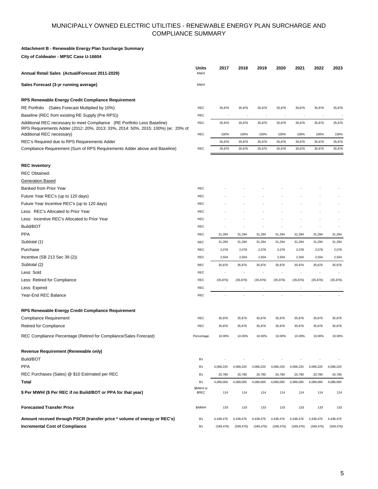#### **Attachment B - Renewable Energy Plan Surcharge Summary**

**City of Coldwater - MPSC Case U-16604**

| Annual Retail Sales (Actual/Forecast 2011-2029)                                                                                                                                           | Units<br><b>MWH</b>      | 2017             | 2018           | 2019           | 2020             | 2021             | 2022           | 2023           |
|-------------------------------------------------------------------------------------------------------------------------------------------------------------------------------------------|--------------------------|------------------|----------------|----------------|------------------|------------------|----------------|----------------|
| Sales Forecast (3-yr running average)                                                                                                                                                     | <b>MWH</b>               |                  |                |                |                  |                  |                |                |
| RPS Renewable Energy Credit Compliance Requirement                                                                                                                                        |                          |                  |                |                |                  |                  |                |                |
| RE Portfolio (Sales Forecast Multiplied by 10%)                                                                                                                                           | <b>REC</b>               | 35,876           | 35,876         | 35,876         | 35,876           | 35,876           | 35,876         | 35,876         |
| Baseline (REC from existing RE Supply (Pre RPS))                                                                                                                                          | <b>REC</b>               |                  |                |                |                  |                  |                |                |
| Additional REC necessary to meet Compliance (RE Portfolio Less Baseline)<br>RPS Requirements Adder (2012: 20%, 2013: 33%, 2014: 50%, 2015: 100%) (ie: 20% of<br>Additional REC necessary) | <b>REC</b><br><b>REC</b> | 35,876<br>100%   | 35,876<br>100% | 35,876<br>100% | 35,876<br>100%   | 35,876<br>100%   | 35,876<br>100% | 35,876<br>100% |
|                                                                                                                                                                                           |                          |                  | 35,876         | 35,876         |                  |                  | 35,876         | 35,876         |
| REC's Required due to RPS Requirements Adder<br>Compliance Requirement (Sum of RPS Requirements Adder above and Baseline)                                                                 | <b>REC</b>               | 35,876<br>35,876 | 35,876         | 35,876         | 35,876<br>35,876 | 35,876<br>35,876 | 35,876         | 35,876         |
|                                                                                                                                                                                           |                          |                  |                |                |                  |                  |                |                |
| <b>REC Inventory</b>                                                                                                                                                                      |                          |                  |                |                |                  |                  |                |                |
| <b>REC Obtained:</b>                                                                                                                                                                      |                          |                  |                |                |                  |                  |                |                |
| <b>Generation Based</b>                                                                                                                                                                   |                          |                  |                |                |                  |                  |                |                |
| Banked from Prior Year                                                                                                                                                                    | <b>REC</b>               |                  |                |                |                  |                  |                |                |
| Future Year REC's (up to 120 days)                                                                                                                                                        | <b>REC</b>               |                  |                |                |                  |                  |                |                |
| Future Year Incentive REC's (up to 120 days)                                                                                                                                              | <b>REC</b>               |                  |                |                |                  |                  |                |                |
| Less: REC's Allocated to Prior Year                                                                                                                                                       | <b>REC</b>               |                  |                |                |                  |                  |                |                |
| Less: Incentive REC's Allocated to Prior Year                                                                                                                                             | <b>REC</b>               |                  |                |                |                  |                  |                |                |
| Build/BOT                                                                                                                                                                                 | <b>REC</b>               |                  |                |                |                  |                  |                |                |
| <b>PPA</b>                                                                                                                                                                                | <b>REC</b>               | 31,294           | 31,294         | 31,294         | 31,294           | 31,294           | 31,294         | 31,294         |
| Subtotal (1)                                                                                                                                                                              | <b>REC</b>               | 31,294           | 31,294         | 31,294         | 31,294           | 31,294           | 31,294         | 31,294         |
| Purchase                                                                                                                                                                                  | <b>REC</b>               | 2,078            | 2,078          | 2,078          | 2,078            | 2,078            | 2,078          | 2,078          |
| Incentive (SB 213 Sec 39 (2))                                                                                                                                                             | <b>REC</b>               | 2,504            | 2,504          | 2,504          | 2,504            | 2,504            | 2,504          | 2,504          |
| Subtotal (2)                                                                                                                                                                              | <b>REC</b>               | 35,876           | 35,876         | 35,876         | 35,876           | 35,876           | 35,876         | 35,876         |
| Less: Sold                                                                                                                                                                                | <b>REC</b>               | ÷                |                |                |                  |                  |                |                |
| Less: Retired for Compliance                                                                                                                                                              | <b>REC</b>               | (35, 876)        | (35, 876)      | (35, 876)      | (35, 876)        | (35, 876)        | (35, 876)      | (35, 876)      |
| Less: Expired                                                                                                                                                                             | <b>REC</b>               |                  |                |                |                  |                  |                |                |
| Year-End REC Balance                                                                                                                                                                      | <b>REC</b>               |                  |                |                |                  |                  |                |                |
| RPS Renewable Energy Credit Compliance Requirement                                                                                                                                        |                          |                  |                |                |                  |                  |                |                |
| <b>Compliance Requirement</b>                                                                                                                                                             | <b>REC</b>               | 35,876           | 35,876         | 35,876         | 35,876           | 35,876           | 35,876         | 35,876         |
| Retired for Compliance                                                                                                                                                                    | <b>REC</b>               | 35,876           | 35,876         | 35,876         | 35,876           | 35,876           | 35,876         | 35,876         |
| REC Compliance Percentage (Retired for Compliance/Sales Forecast)                                                                                                                         | Percentage               | 10.00%           | 10.00%         | 10.00%         | 10.00%           | 10.00%           | 10.00%         | 10.00%         |
| Revenue Requirement (Renewable only)                                                                                                                                                      |                          |                  |                |                |                  |                  |                |                |
| Build/BOT                                                                                                                                                                                 | S's                      |                  |                |                |                  |                  |                |                |
| <b>PPA</b>                                                                                                                                                                                | S's                      | 4,068,220        | 4,068,220      | 4,068,220      | 4,068,220        | 4,068,220        | 4,068,220      | 4,068,220      |
| REC Purchases (Sales) @ \$10 Estimated per REC                                                                                                                                            | S's                      | 20,780           | 20,780         | 20,780         | 20,780           | 20,780           | 20,780         | 20,780         |
| Total                                                                                                                                                                                     | $s$ 's                   | 4,089,000        | 4,089,000      | 4,089,000      | 4,089,000        | 4,089,000        | 4,089,000      | 4,089,000      |
| \$ Per MWH/ (\$ Per REC if no Build/BOT or PPA for that year)                                                                                                                             | \$MWH or<br>\$REC        | 114              | 114            | 114            | 114              | 114              | 114            | 114            |
| <b>Forecasted Transfer Price</b>                                                                                                                                                          | \$/MWH                   | 133              | 133            | 133            | 133              | 133              | 133            | 133            |
| Amount recoved through PSCR (transfer price * volume of energy or REC's)                                                                                                                  | $$^{\prime}$ s           | 4,438,476        | 4,438,476      | 4,438,476      | 4,438,476        | 4,438,476        | 4,438,476      | 4,438,476      |
| <b>Incremental Cost of Compliance</b>                                                                                                                                                     | $s$ 's                   | (349, 476)       | (349, 476)     | (349, 476)     | (349, 476)       | (349, 476)       | (349, 476)     | (349, 476)     |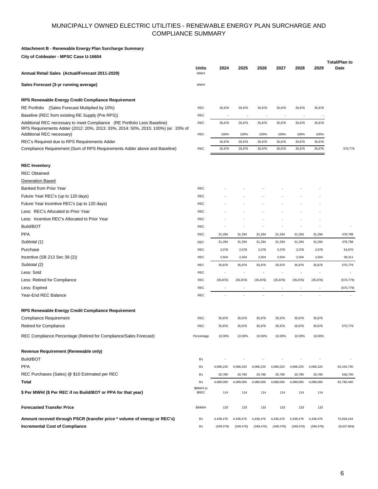#### **Attachment B - Renewable Energy Plan Surcharge Summary**

**City of Coldwater - MPSC Case U-16604**

| Annual Retail Sales (Actual/Forecast 2011-2029)                                                                                                                                           | Units<br><b>MWH</b> | 2024                     | 2025                     | 2026                     | 2027                     | 2028                     | 2029           | <b>Total/Plan to</b><br>Date |
|-------------------------------------------------------------------------------------------------------------------------------------------------------------------------------------------|---------------------|--------------------------|--------------------------|--------------------------|--------------------------|--------------------------|----------------|------------------------------|
| Sales Forecast (3-yr running average)                                                                                                                                                     | <b>MWH</b>          |                          |                          |                          |                          |                          |                |                              |
| RPS Renewable Energy Credit Compliance Requirement                                                                                                                                        |                     |                          |                          |                          |                          |                          |                |                              |
| RE Portfolio (Sales Forecast Multiplied by 10%)                                                                                                                                           | <b>REC</b>          | 35,876                   | 35,876                   | 35,876                   | 35,876                   | 35,876                   | 35,876         |                              |
| Baseline (REC from existing RE Supply (Pre RPS))                                                                                                                                          | <b>REC</b>          | ÷                        | $\overline{\phantom{a}}$ | $\overline{\phantom{a}}$ | $\overline{\phantom{a}}$ | $\overline{\phantom{a}}$ |                |                              |
| Additional REC necessary to meet Compliance (RE Portfolio Less Baseline)<br>RPS Requirements Adder (2012: 20%, 2013: 33%, 2014: 50%, 2015: 100%) (ie: 20% of<br>Additional REC necessary) | REC<br>REC          | 35,876<br>100%           | 35,876<br>100%           | 35,876<br>100%           | 35,876<br>100%           | 35,876<br>100%           | 35,876<br>100% |                              |
| REC's Required due to RPS Requirements Adder                                                                                                                                              |                     | 35,876                   | 35,876                   | 35,876                   | 35,876                   | 35,876                   | 35,876         |                              |
| Compliance Requirement (Sum of RPS Requirements Adder above and Baseline)                                                                                                                 | <b>REC</b>          | 35,876                   | 35,876                   | 35,876                   | 35,876                   | 35,876                   | 35,876         | 570,779                      |
| <b>REC Inventory</b>                                                                                                                                                                      |                     |                          |                          |                          |                          |                          |                |                              |
| <b>REC Obtained:</b>                                                                                                                                                                      |                     |                          |                          |                          |                          |                          |                |                              |
| <b>Generation Based</b>                                                                                                                                                                   |                     |                          |                          |                          |                          |                          |                |                              |
| Banked from Prior Year                                                                                                                                                                    | <b>REC</b>          |                          |                          |                          |                          |                          |                |                              |
| Future Year REC's (up to 120 days)                                                                                                                                                        | <b>REC</b>          |                          |                          |                          |                          |                          |                |                              |
| Future Year Incentive REC's (up to 120 days)                                                                                                                                              | <b>REC</b>          |                          |                          |                          |                          |                          |                |                              |
| Less: REC's Allocated to Prior Year                                                                                                                                                       | <b>REC</b>          |                          |                          |                          |                          |                          |                |                              |
| Less: Incentive REC's Allocated to Prior Year                                                                                                                                             | <b>REC</b>          |                          |                          |                          |                          |                          |                |                              |
| Build/BOT                                                                                                                                                                                 | <b>REC</b>          |                          |                          |                          |                          |                          |                |                              |
| <b>PPA</b>                                                                                                                                                                                | <b>REC</b>          | 31,294                   | 31,294                   | 31,294                   | 31,294                   | 31,294                   | 31,294         | 478,798                      |
| Subtotal (1)                                                                                                                                                                              | <b>REC</b>          | 31,294                   | 31,294                   | 31,294                   | 31,294                   | 31,294                   | 31,294         | 478,798                      |
| Purchase                                                                                                                                                                                  | <b>REC</b>          | 2,078                    | 2,078                    | 2,078                    | 2,078                    | 2,078                    | 2,078          | 53,670                       |
| Incentive (SB 213 Sec 39 (2))                                                                                                                                                             | <b>REC</b>          | 2,504                    | 2,504                    | 2,504                    | 2,504                    | 2,504                    | 2,504          | 38,311                       |
| Subtotal (2)                                                                                                                                                                              | <b>REC</b>          | 35,876                   | 35,876                   | 35,876                   | 35,876                   | 35,876                   | 35,876         | 570,779                      |
| Less: Sold                                                                                                                                                                                | <b>REC</b>          |                          |                          |                          |                          | ,                        |                |                              |
| Less: Retired for Compliance                                                                                                                                                              | <b>REC</b>          | (35, 876)                | (35, 876)                | (35, 876)                | (35, 876)                | (35, 876)                | (35, 876)      | (570, 779)                   |
| Less: Expired                                                                                                                                                                             | <b>REC</b>          | $\overline{\phantom{a}}$ | $\overline{\phantom{a}}$ | $\overline{\phantom{a}}$ | ÷                        | $\overline{\phantom{a}}$ |                | (570, 779)                   |
| Year-End REC Balance                                                                                                                                                                      | REC                 |                          |                          |                          |                          |                          |                |                              |
| RPS Renewable Energy Credit Compliance Requirement                                                                                                                                        |                     |                          |                          |                          |                          |                          |                |                              |
| <b>Compliance Requirement</b>                                                                                                                                                             | <b>REC</b>          | 35,876                   | 35,876                   | 35,876                   | 35,876                   | 35,876                   | 35,876         |                              |
| <b>Retired for Compliance</b>                                                                                                                                                             | REC                 | 35,876                   | 35,876                   | 35,876                   | 35,876                   | 35,876                   | 35,876         | 570,779                      |
| REC Compliance Percentage (Retired for Compliance/Sales Forecast)                                                                                                                         | Percentage          | 10.00%                   | 10.00%                   | 10.00%                   | 10.00%                   | 10.00%                   | 10.00%         |                              |
| Revenue Requirement (Renewable only)                                                                                                                                                      |                     |                          |                          |                          |                          |                          |                |                              |
| Build/BOT                                                                                                                                                                                 | S's                 |                          |                          |                          |                          |                          |                |                              |
| <b>PPA</b>                                                                                                                                                                                | S's                 | 4,068,220                | 4,068,220                | 4,068,220                | 4,068,220                | 4,068,220                | 4,068,220      | 62,243,740                   |
| REC Purchases (Sales) @ \$10 Estimated per REC                                                                                                                                            | $s$ 's              | 20,780                   | 20,780                   | 20,780                   | 20,780                   | 20,780                   | 20,780         | 536,700                      |
| Total                                                                                                                                                                                     | S's                 | 4,089,000                | 4,089,000                | 4,089,000                | 4,089,000                | 4,089,000                | 4,089,000      | 62,780,440                   |
| \$ Per MWH/ (\$ Per REC if no Build/BOT or PPA for that year)                                                                                                                             | \$MWH or<br>\$REC   | 114                      | 114                      | 114                      | 114                      | 114                      | 114            |                              |
| <b>Forecasted Transfer Price</b>                                                                                                                                                          | \$/MWH              | 133                      | 133                      | 133                      | 133                      | 133                      | 133            |                              |
| Amount recoved through PSCR (transfer price * volume of energy or REC's)                                                                                                                  | $s$ 's              | 4,438,476                | 4,438,476                | 4,438,476                | 4,438,476                | 4,438,476                | 4,438,476      | 70,818,244                   |
| <b>Incremental Cost of Compliance</b>                                                                                                                                                     | S's                 | (349, 476)               | (349, 476)               | (349, 476)               | (349, 476)               | (349, 476)               | (349, 476)     | (8,037,804)                  |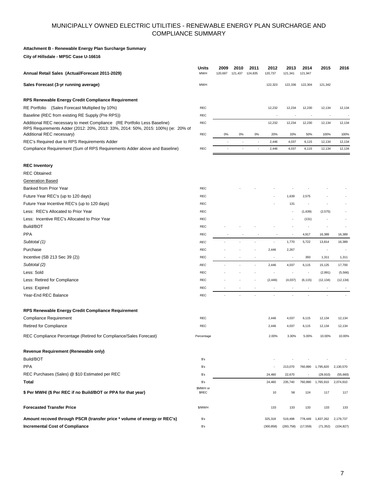#### **Attachment B - Renewable Energy Plan Surcharge Summary**

**City of Hillsdale - MPSC Case U-16616**

| Annual Retail Sales (Actual/Forecast 2011-2029)                                                                                                                                           | Units<br><b>MWH</b>      | 2009<br>120,697 | 2010<br>121,437 | 2011<br>124,835 | 2012<br>120,737          | 2013<br>121,34 | 2014<br>121,947          | 2015           | 2016           |
|-------------------------------------------------------------------------------------------------------------------------------------------------------------------------------------------|--------------------------|-----------------|-----------------|-----------------|--------------------------|----------------|--------------------------|----------------|----------------|
| Sales Forecast (3-yr running average)                                                                                                                                                     | <b>MWH</b>               |                 |                 |                 | 122,323                  | 122,336        | 122,304                  | 121,342        |                |
| RPS Renewable Energy Credit Compliance Requirement                                                                                                                                        |                          |                 |                 |                 |                          |                |                          |                |                |
| RE Portfolio (Sales Forecast Multiplied by 10%)                                                                                                                                           | <b>REC</b>               |                 |                 |                 | 12,232                   | 12,234         | 12,230                   | 12,134         | 12,134         |
| Baseline (REC from existing RE Supply (Pre RPS))                                                                                                                                          | <b>REC</b>               |                 |                 |                 |                          |                |                          |                |                |
| Additional REC necessary to meet Compliance (RE Portfolio Less Baseline)<br>RPS Requirements Adder (2012: 20%, 2013: 33%, 2014: 50%, 2015: 100%) (ie: 20% of<br>Additional REC necessary) | REC<br><b>REC</b>        | 0%              | 0%              | 0%              | 12,232<br>20%            | 12,234<br>33%  | 12,230<br>50%            | 12,134<br>100% | 12,134<br>100% |
| REC's Required due to RPS Requirements Adder                                                                                                                                              |                          |                 |                 |                 | 2,446                    | 4,037          | 6,115                    | 12,134         | 12,134         |
| Compliance Requirement (Sum of RPS Requirements Adder above and Baseline)                                                                                                                 | <b>REC</b>               |                 |                 |                 | 2,446                    | 4,037          | 6,115                    | 12,134         | 12,134         |
| <b>REC Inventory</b>                                                                                                                                                                      |                          |                 |                 |                 |                          |                |                          |                |                |
| <b>REC Obtained:</b>                                                                                                                                                                      |                          |                 |                 |                 |                          |                |                          |                |                |
| <b>Generation Based</b>                                                                                                                                                                   |                          |                 |                 |                 |                          |                |                          |                |                |
| Banked from Prior Year                                                                                                                                                                    | <b>REC</b>               |                 |                 |                 |                          |                |                          |                |                |
| Future Year REC's (up to 120 days)                                                                                                                                                        | <b>REC</b>               |                 |                 |                 |                          | 1,639          | 2,575                    |                |                |
| Future Year Incentive REC's (up to 120 days)                                                                                                                                              | REC                      |                 |                 |                 |                          | 131            |                          |                |                |
| Less: REC's Allocated to Prior Year                                                                                                                                                       | REC                      |                 |                 |                 |                          |                | (1,639)                  | (2, 575)       |                |
| Less: Incentive REC's Allocated to Prior Year                                                                                                                                             | <b>REC</b>               |                 |                 |                 |                          |                | (131)                    |                |                |
| Build/BOT                                                                                                                                                                                 | <b>REC</b>               |                 |                 |                 |                          |                |                          |                |                |
| <b>PPA</b>                                                                                                                                                                                | <b>REC</b>               |                 |                 |                 |                          |                | 4,917                    | 16,389         | 16,389         |
| Subtotal (1)                                                                                                                                                                              | <b>REC</b>               |                 |                 |                 |                          | 1,770          | 5,722                    | 13,814         | 16,389         |
| Purchase                                                                                                                                                                                  | <b>REC</b>               |                 |                 |                 | 2,446                    | 2,267          |                          |                |                |
| Incentive (SB 213 Sec 39 (2))                                                                                                                                                             | <b>REC</b>               |                 |                 |                 |                          |                | 393                      | 1,311          | 1,311          |
| Subtotal (2)                                                                                                                                                                              | <b>REC</b>               |                 |                 |                 | 2,446                    | 4,037          | 6,115                    | 15,125         | 17,700         |
| Less: Sold                                                                                                                                                                                | <b>REC</b>               |                 |                 |                 |                          |                |                          | (2,991)        | (5, 566)       |
| Less: Retired for Compliance                                                                                                                                                              | <b>REC</b>               |                 |                 |                 | (2, 446)                 | (4,037)        | (6, 115)                 | (12, 134)      | (12, 134)      |
| Less: Expired                                                                                                                                                                             | <b>REC</b>               |                 |                 |                 | $\overline{\phantom{a}}$ |                | $\overline{\phantom{a}}$ | ,              |                |
| Year-End REC Balance                                                                                                                                                                      | <b>REC</b>               |                 |                 |                 |                          |                |                          |                |                |
| RPS Renewable Energy Credit Compliance Requirement                                                                                                                                        |                          |                 |                 |                 |                          |                |                          |                |                |
| Compliance Requirement                                                                                                                                                                    | REC                      |                 |                 |                 | 2,446                    | 4,037          | 6,115                    | 12,134         | 12,134         |
| <b>Retired for Compliance</b>                                                                                                                                                             | <b>REC</b>               |                 |                 |                 | 2,446                    | 4,037          | 6,115                    | 12,134         | 12,134         |
| REC Compliance Percentage (Retired for Compliance/Sales Forecast)                                                                                                                         | Percentage               |                 |                 |                 | 2.00%                    | 3.30%          | 5.00%                    | 10.00%         | 10.00%         |
| Revenue Requirement (Renewable only)                                                                                                                                                      |                          |                 |                 |                 |                          |                |                          |                |                |
| Build/BOT                                                                                                                                                                                 | $s$ 's                   |                 |                 |                 |                          |                |                          |                |                |
| <b>PPA</b>                                                                                                                                                                                | $s$ 's                   |                 |                 |                 |                          | 213,070        | 760,890                  | 1,795,820      | 2,130,570      |
| REC Purchases (Sales) @ \$10 Estimated per REC                                                                                                                                            | \$'s                     |                 |                 |                 | 24,460                   | 22,670         |                          | (29, 910)      | (55,660)       |
| Total                                                                                                                                                                                     | $s$ 's                   |                 |                 |                 | 24,460                   | 235,740        | 760,890                  | 1,765,910      | 2,074,910      |
| \$ Per MWH/ (\$ Per REC if no Build/BOT or PPA for that year)                                                                                                                             | \$MWH or<br><b>\$REC</b> |                 |                 |                 | 10                       | 58             | 124                      | 117            | 117            |
| <b>Forecasted Transfer Price</b>                                                                                                                                                          | \$/MWH                   |                 |                 |                 | 133                      | 133            | 133                      | 133            | 133            |
| Amount recoved through PSCR (transfer price * volume of energy or REC's)                                                                                                                  | $s$ 's                   |                 |                 |                 | 325,318                  | 519,498        | 778,449                  | 1,837,262      | 2,179,737      |
| <b>Incremental Cost of Compliance</b>                                                                                                                                                     | $s$ 's                   |                 |                 |                 | (300, 858)               | (283, 758)     | (17, 559)                | (71, 352)      | (104, 827)     |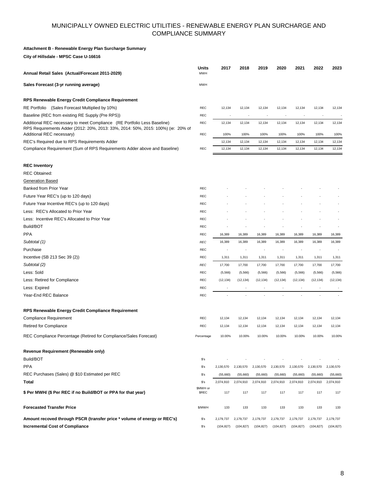#### **Attachment B - Renewable Energy Plan Surcharge Summary**

**City of Hillsdale - MPSC Case U-16616**

| Annual Retail Sales (Actual/Forecast 2011-2029)                                                                                                              | Units<br><b>MWH</b>     | 2017       | 2018       | 2019       | 2020       | 2021       | 2022                     | 2023       |
|--------------------------------------------------------------------------------------------------------------------------------------------------------------|-------------------------|------------|------------|------------|------------|------------|--------------------------|------------|
| Sales Forecast (3-yr running average)                                                                                                                        | <b>MWH</b>              |            |            |            |            |            |                          |            |
| RPS Renewable Energy Credit Compliance Requirement                                                                                                           |                         |            |            |            |            |            |                          |            |
| RE Portfolio (Sales Forecast Multiplied by 10%)                                                                                                              | <b>REC</b>              | 12,134     | 12,134     | 12,134     | 12,134     | 12,134     | 12,134                   | 12,134     |
| Baseline (REC from existing RE Supply (Pre RPS))                                                                                                             | REC                     |            |            |            |            |            |                          |            |
| Additional REC necessary to meet Compliance (RE Portfolio Less Baseline)<br>RPS Requirements Adder (2012: 20%, 2013: 33%, 2014: 50%, 2015: 100%) (ie: 20% of | REC                     | 12,134     | 12,134     | 12,134     | 12,134     | 12,134     | 12,134                   | 12,134     |
| Additional REC necessary)                                                                                                                                    | REC                     | 100%       | 100%       | 100%       | 100%       | 100%       | 100%                     | 100%       |
| REC's Required due to RPS Requirements Adder                                                                                                                 |                         | 12,134     | 12,134     | 12,134     | 12,134     | 12,134     | 12,134                   | 12,134     |
| Compliance Requirement (Sum of RPS Requirements Adder above and Baseline)                                                                                    | REC                     | 12,134     | 12,134     | 12,134     | 12,134     | 12,134     | 12,134                   | 12,134     |
| <b>REC Inventory</b>                                                                                                                                         |                         |            |            |            |            |            |                          |            |
| <b>REC Obtained:</b>                                                                                                                                         |                         |            |            |            |            |            |                          |            |
| <b>Generation Based</b>                                                                                                                                      |                         |            |            |            |            |            |                          |            |
| Banked from Prior Year                                                                                                                                       | <b>REC</b>              |            |            |            |            |            |                          |            |
| Future Year REC's (up to 120 days)                                                                                                                           | REC                     |            |            |            |            |            |                          |            |
| Future Year Incentive REC's (up to 120 days)                                                                                                                 | REC                     |            |            |            |            |            |                          |            |
| Less: REC's Allocated to Prior Year                                                                                                                          | REC                     |            |            |            |            |            |                          |            |
| Less: Incentive REC's Allocated to Prior Year                                                                                                                | REC                     |            |            |            |            |            |                          |            |
| Build/BOT                                                                                                                                                    | REC                     |            |            |            |            |            |                          |            |
| <b>PPA</b>                                                                                                                                                   | REC                     | 16,389     | 16,389     | 16,389     | 16,389     | 16,389     | 16,389                   | 16,389     |
| Subtotal (1)                                                                                                                                                 | <b>REC</b>              | 16,389     | 16,389     | 16,389     | 16,389     | 16,389     | 16,389                   | 16,389     |
| Purchase                                                                                                                                                     | <b>REC</b>              |            |            |            |            |            | $\overline{\phantom{a}}$ |            |
| Incentive (SB 213 Sec 39 (2))                                                                                                                                | <b>REC</b>              | 1,311      | 1,311      | 1,311      | 1,311      | 1,311      | 1,311                    | 1,311      |
| Subtotal (2)                                                                                                                                                 | <b>REC</b>              | 17,700     | 17,700     | 17,700     | 17,700     | 17,700     | 17,700                   | 17,700     |
| Less: Sold                                                                                                                                                   | REC                     | (5, 566)   | (5, 566)   | (5, 566)   | (5, 566)   | (5, 566)   | (5, 566)                 | (5, 566)   |
| Less: Retired for Compliance                                                                                                                                 | <b>REC</b>              | (12, 134)  | (12, 134)  | (12, 134)  | (12, 134)  | (12, 134)  | (12, 134)                | (12, 134)  |
| Less: Expired                                                                                                                                                | REC                     |            |            |            |            |            |                          |            |
| Year-End REC Balance                                                                                                                                         | <b>REC</b>              |            |            |            |            |            |                          |            |
| RPS Renewable Energy Credit Compliance Requirement                                                                                                           |                         |            |            |            |            |            |                          |            |
| Compliance Requirement                                                                                                                                       | REC                     | 12,134     | 12,134     | 12,134     | 12,134     | 12,134     | 12,134                   | 12,134     |
| <b>Retired for Compliance</b>                                                                                                                                | REC                     | 12,134     | 12,134     | 12,134     | 12,134     | 12,134     | 12,134                   | 12,134     |
| REC Compliance Percentage (Retired for Compliance/Sales Forecast)                                                                                            | Percentage              | 10.00%     | 10.00%     | 10.00%     | 10.00%     | 10.00%     | 10.00%                   | 10.00%     |
| Revenue Requirement (Renewable only)                                                                                                                         |                         |            |            |            |            |            |                          |            |
| Build/BOT                                                                                                                                                    | $s$ 's                  |            |            |            |            |            |                          |            |
| <b>PPA</b>                                                                                                                                                   | \$'s                    | 2,130,570  | 2,130,570  | 2,130,570  | 2,130,570  | 2,130,570  | 2,130,570                | 2,130,570  |
| REC Purchases (Sales) @ \$10 Estimated per REC                                                                                                               | \$'s                    | (55,660)   | (55,660)   | (55,660)   | (55,660)   | (55,660)   | (55,660)                 | (55,660)   |
| Total                                                                                                                                                        | $s$ 's                  | 2,074,910  | 2,074,910  | 2,074,910  | 2,074,910  | 2,074,910  | 2,074,910                | 2,074,910  |
| \$ Per MWH/ (\$ Per REC if no Build/BOT or PPA for that year)                                                                                                | \$MWH or<br><b>SREC</b> | 117        | 117        | 117        | 117        | 117        | 117                      | 117        |
| <b>Forecasted Transfer Price</b>                                                                                                                             | \$/MWH                  | 133        | 133        | 133        | 133        | 133        | 133                      | 133        |
| Amount recoved through PSCR (transfer price * volume of energy or REC's)                                                                                     | $s$ 's                  | 2,179,737  | 2,179,737  | 2,179,737  | 2,179,737  | 2,179,737  | 2,179,737                | 2,179,737  |
| <b>Incremental Cost of Compliance</b>                                                                                                                        | $s$ 's                  | (104, 827) | (104, 827) | (104, 827) | (104, 827) | (104, 827) | (104, 827)               | (104, 827) |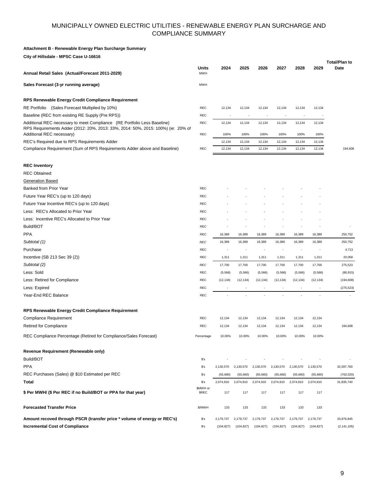#### **Attachment B - Renewable Energy Plan Surcharge Summary**

**City of Hillsdale - MPSC Case U-16616**

| Annual Retail Sales (Actual/Forecast 2011-2029)                                                                                                                                           | Units<br><b>MWH</b>      | 2024                     | 2025                     | 2026                     | 2027                     | 2028                     | 2029                     | <b>Total/Plan to</b><br>Date |
|-------------------------------------------------------------------------------------------------------------------------------------------------------------------------------------------|--------------------------|--------------------------|--------------------------|--------------------------|--------------------------|--------------------------|--------------------------|------------------------------|
| Sales Forecast (3-yr running average)                                                                                                                                                     | <b>MWH</b>               |                          |                          |                          |                          |                          |                          |                              |
| RPS Renewable Energy Credit Compliance Requirement                                                                                                                                        |                          |                          |                          |                          |                          |                          |                          |                              |
| RE Portfolio (Sales Forecast Multiplied by 10%)                                                                                                                                           | REC                      | 12,134                   | 12,134                   | 12,134                   | 12,134                   | 12,134                   | 12,134                   |                              |
| Baseline (REC from existing RE Supply (Pre RPS))                                                                                                                                          | REC                      | $\overline{a}$           | $\overline{\phantom{a}}$ | $\overline{\phantom{a}}$ | $\overline{\phantom{a}}$ | $\overline{\phantom{a}}$ |                          |                              |
| Additional REC necessary to meet Compliance (RE Portfolio Less Baseline)<br>RPS Requirements Adder (2012: 20%, 2013: 33%, 2014: 50%, 2015: 100%) (ie: 20% of<br>Additional REC necessary) | REC<br>REC               | 12,134<br>100%           | 12,134<br>100%           | 12,134<br>100%           | 12,134<br>100%           | 12,134<br>100%           | 12,134<br>100%           |                              |
| REC's Required due to RPS Requirements Adder                                                                                                                                              |                          | 12,134                   | 12,134                   | 12,134                   | 12,134                   | 12,134                   | 12,134                   |                              |
| Compliance Requirement (Sum of RPS Requirements Adder above and Baseline)                                                                                                                 | REC                      | 12,134                   | 12,134                   | 12,134                   | 12,134                   | 12,134                   | 12,134                   | 194,608                      |
| <b>REC Inventory</b>                                                                                                                                                                      |                          |                          |                          |                          |                          |                          |                          |                              |
| <b>REC Obtained:</b>                                                                                                                                                                      |                          |                          |                          |                          |                          |                          |                          |                              |
| <b>Generation Based</b>                                                                                                                                                                   |                          |                          |                          |                          |                          |                          |                          |                              |
| Banked from Prior Year                                                                                                                                                                    | REC                      |                          |                          |                          |                          |                          |                          |                              |
| Future Year REC's (up to 120 days)                                                                                                                                                        | <b>REC</b>               |                          |                          |                          |                          |                          |                          |                              |
| Future Year Incentive REC's (up to 120 days)                                                                                                                                              | <b>REC</b>               |                          |                          |                          |                          |                          |                          |                              |
| Less: REC's Allocated to Prior Year                                                                                                                                                       | <b>REC</b>               |                          |                          |                          |                          |                          |                          |                              |
| Less: Incentive REC's Allocated to Prior Year                                                                                                                                             | <b>REC</b>               |                          |                          |                          |                          |                          |                          |                              |
| Build/BOT                                                                                                                                                                                 | REC                      |                          |                          |                          |                          |                          |                          |                              |
| <b>PPA</b>                                                                                                                                                                                | REC                      | 16,389                   | 16,389                   | 16,389                   | 16,389                   | 16,389                   | 16,389                   | 250,752                      |
| Subtotal (1)                                                                                                                                                                              | <b>REC</b>               | 16,389                   | 16,389                   | 16,389                   | 16,389                   | 16,389                   | 16,389                   | 250,752                      |
| Purchase                                                                                                                                                                                  | <b>REC</b>               |                          |                          |                          |                          |                          |                          | 4,713                        |
| Incentive (SB 213 Sec 39 (2))                                                                                                                                                             | REC                      | 1,311                    | 1,311                    | 1,311                    | 1,311                    | 1,311                    | 1,311                    | 20,058                       |
| Subtotal (2)                                                                                                                                                                              | <b>REC</b>               | 17,700                   | 17,700                   | 17,700                   | 17,700                   | 17,700                   | 17,700                   | 275,523                      |
| Less: Sold                                                                                                                                                                                | REC                      | (5, 566)                 | (5, 566)                 | (5, 566)                 | (5, 566)                 | (5, 566)                 | (5, 566)                 | (80, 915)                    |
| Less: Retired for Compliance                                                                                                                                                              | <b>REC</b>               | (12, 134)                | (12, 134)                | (12, 134)                | (12, 134)                | (12, 134)                | (12, 134)                | (194, 608)                   |
| Less: Expired                                                                                                                                                                             | <b>REC</b>               | $\overline{\phantom{a}}$ | $\overline{\phantom{a}}$ | $\overline{\phantom{a}}$ | $\overline{\phantom{a}}$ | $\overline{\phantom{a}}$ | $\overline{\phantom{m}}$ | (275, 523)                   |
| Year-End REC Balance                                                                                                                                                                      | <b>REC</b>               |                          | ÷,                       | ä,                       |                          |                          |                          |                              |
| RPS Renewable Energy Credit Compliance Requirement                                                                                                                                        |                          |                          |                          |                          |                          |                          |                          |                              |
| <b>Compliance Requirement</b>                                                                                                                                                             | REC                      | 12,134                   | 12,134                   | 12,134                   | 12,134                   | 12,134                   | 12,134                   |                              |
| <b>Retired for Compliance</b>                                                                                                                                                             | REC                      | 12,134                   | 12,134                   | 12,134                   | 12,134                   | 12,134                   | 12,134                   | 194,608                      |
| REC Compliance Percentage (Retired for Compliance/Sales Forecast)                                                                                                                         | Percentage               | 10.00%                   | 10.00%                   | 10.00%                   | 10.00%                   | 10.00%                   | 10.00%                   |                              |
| Revenue Requirement (Renewable only)                                                                                                                                                      |                          |                          |                          |                          |                          |                          |                          |                              |
| Build/BOT                                                                                                                                                                                 | $s$ 's                   |                          |                          |                          |                          |                          |                          |                              |
| <b>PPA</b>                                                                                                                                                                                | $s$ 's                   | 2,130,570                | 2,130,570                | 2,130,570                | 2,130,570                | 2,130,570                | 2,130,570                | 32,597,760                   |
| REC Purchases (Sales) @ \$10 Estimated per REC                                                                                                                                            | $s$ 's                   | (55,660)                 | (55,660)                 | (55,660)                 | (55,660)                 | (55,660)                 | (55,660)                 | (762, 020)                   |
| Total                                                                                                                                                                                     | $s$ 's                   | 2,074,910                | 2,074,910                | 2,074,910                | 2,074,910                | 2,074,910                | 2,074,910                | 31,835,740                   |
| \$ Per MWH/ (\$ Per REC if no Build/BOT or PPA for that year)                                                                                                                             | \$MWH or<br><b>\$REC</b> | 117                      | 117                      | 117                      | 117                      | 117                      | 117                      |                              |
| <b>Forecasted Transfer Price</b>                                                                                                                                                          | \$/MWH                   | 133                      | 133                      | 133                      | 133                      | 133                      | 133                      |                              |
| Amount recoved through PSCR (transfer price * volume of energy or REC's)                                                                                                                  | $s$ 's                   | 2,179,737                | 2,179,737                | 2,179,737                | 2,179,737                | 2,179,737                | 2,179,737                | 33,976,845                   |
| <b>Incremental Cost of Compliance</b>                                                                                                                                                     | $s$ 's                   | (104, 827)               | (104, 827)               | (104, 827)               | (104, 827)               | (104, 827)               | (104, 827)               | (2, 141, 105)                |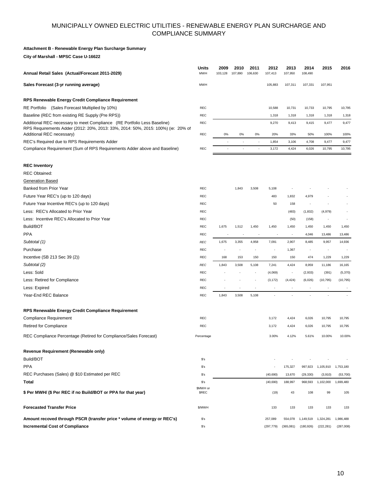#### **Attachment B - Renewable Energy Plan Surcharge Summary**

**City of Marshall - MPSC Case U-16622**

| Annual Retail Sales (Actual/Forecast 2011-2029)                                                                                                                                           | Units<br><b>MWH</b>     | 2009<br>103,128 | 2010<br>107,890          | 2011<br>106,630 | 2012<br>107,413 | 2013<br>107,950          | 2014<br>108,490          | 2015          | 2016          |
|-------------------------------------------------------------------------------------------------------------------------------------------------------------------------------------------|-------------------------|-----------------|--------------------------|-----------------|-----------------|--------------------------|--------------------------|---------------|---------------|
| Sales Forecast (3-yr running average)                                                                                                                                                     | <b>MWH</b>              |                 |                          |                 | 105,883         | 107,311                  | 107,331                  | 107,951       |               |
| RPS Renewable Energy Credit Compliance Requirement                                                                                                                                        |                         |                 |                          |                 |                 |                          |                          |               |               |
| RE Portfolio (Sales Forecast Multiplied by 10%)                                                                                                                                           | <b>REC</b>              |                 |                          |                 | 10,588          | 10,731                   | 10,733                   | 10,795        | 10,795        |
| Baseline (REC from existing RE Supply (Pre RPS))                                                                                                                                          | <b>REC</b>              |                 |                          |                 | 1,318           | 1,318                    | 1,318                    | 1,318         | 1,318         |
| Additional REC necessary to meet Compliance (RE Portfolio Less Baseline)<br>RPS Requirements Adder (2012: 20%, 2013: 33%, 2014: 50%, 2015: 100%) (ie: 20% of<br>Additional REC necessary) | REC<br><b>REC</b>       | 0%              | 0%                       | 0%              | 9,270<br>20%    | 9,413<br>33%             | 9,415<br>50%             | 9,477<br>100% | 9,477<br>100% |
| REC's Required due to RPS Requirements Adder                                                                                                                                              |                         |                 | $\overline{\phantom{a}}$ |                 | 1,854           | 3,106                    | 4,708                    | 9,477         | 9,477         |
| Compliance Requirement (Sum of RPS Requirements Adder above and Baseline)                                                                                                                 | <b>REC</b>              |                 | $\overline{a}$           | ÷,              | 3,172           | 4,424                    | 6,026                    | 10,795        | 10,795        |
| <b>REC Inventory</b>                                                                                                                                                                      |                         |                 |                          |                 |                 |                          |                          |               |               |
| <b>REC Obtained:</b>                                                                                                                                                                      |                         |                 |                          |                 |                 |                          |                          |               |               |
| <b>Generation Based</b>                                                                                                                                                                   |                         |                 |                          |                 |                 |                          |                          |               |               |
| Banked from Prior Year                                                                                                                                                                    | <b>REC</b>              |                 | 1,843                    | 3,508           | 5,108           |                          |                          |               |               |
| Future Year REC's (up to 120 days)                                                                                                                                                        | REC                     |                 |                          |                 | 483             | 1,832                    | 4,979                    |               |               |
| Future Year Incentive REC's (up to 120 days)                                                                                                                                              | <b>REC</b>              |                 |                          |                 | 50              | 158                      | $\overline{\phantom{a}}$ |               |               |
| Less: REC's Allocated to Prior Year                                                                                                                                                       | <b>REC</b>              |                 |                          |                 |                 | (483)                    | (1, 832)                 | (4,979)       |               |
| Less: Incentive REC's Allocated to Prior Year                                                                                                                                             | <b>REC</b>              |                 |                          |                 |                 | (50)                     | (158)                    | ÷             |               |
| Build/BOT                                                                                                                                                                                 | REC                     | 1,675           | 1,512                    | 1,450           | 1,450           | 1,450                    | 1,450                    | 1,450         | 1,450         |
| <b>PPA</b>                                                                                                                                                                                | <b>REC</b>              |                 |                          |                 |                 |                          | 4,046                    | 13,486        | 13,486        |
| Subtotal (1)                                                                                                                                                                              | <b>REC</b>              | 1,675           | 3,355                    | 4,958           | 7,091           | 2,907                    | 8,485                    | 9,957         | 14,936        |
| Purchase                                                                                                                                                                                  | <b>REC</b>              |                 |                          |                 |                 | 1,367                    |                          |               |               |
| Incentive (SB 213 Sec 39 (2))                                                                                                                                                             | REC                     | 168             | 153                      | 150             | 150             | 150                      | 474                      | 1,229         | 1,229         |
| Subtotal (2)                                                                                                                                                                              | <b>REC</b>              | 1,843           | 3,508                    | 5,108           | 7,241           | 4,424                    | 8,959                    | 11,186        | 16,165        |
| Less: Sold                                                                                                                                                                                | <b>REC</b>              |                 |                          |                 | (4,069)         | $\overline{\phantom{a}}$ | (2,933)                  | (391)         | (5,370)       |
| Less: Retired for Compliance                                                                                                                                                              | <b>REC</b>              |                 |                          |                 | (3, 172)        | (4, 424)                 | (6,026)                  | (10, 795)     | (10, 795)     |
| Less: Expired                                                                                                                                                                             | REC                     |                 |                          |                 | $\overline{a}$  |                          |                          |               |               |
| Year-End REC Balance                                                                                                                                                                      | <b>REC</b>              | 1,843           | 3,508                    | 5,108           |                 |                          |                          |               |               |
| RPS Renewable Energy Credit Compliance Requirement                                                                                                                                        |                         |                 |                          |                 |                 |                          |                          |               |               |
| <b>Compliance Requirement</b>                                                                                                                                                             | <b>REC</b>              |                 |                          |                 | 3,172           | 4,424                    | 6,026                    | 10,795        | 10,795        |
| <b>Retired for Compliance</b>                                                                                                                                                             | <b>REC</b>              |                 |                          |                 | 3,172           | 4,424                    | 6,026                    | 10,795        | 10,795        |
| REC Compliance Percentage (Retired for Compliance/Sales Forecast)                                                                                                                         | Percentage              |                 |                          |                 | 3.00%           | 4.12%                    | 5.61%                    | 10.00%        | 10.00%        |
| Revenue Requirement (Renewable only)                                                                                                                                                      |                         |                 |                          |                 |                 |                          |                          |               |               |
| Build/BOT                                                                                                                                                                                 | $s$ 's                  |                 |                          |                 |                 |                          |                          |               |               |
| <b>PPA</b>                                                                                                                                                                                | $s$ 's                  |                 |                          |                 |                 | 175,327                  | 997,923                  | 1,105,910     | 1,753,180     |
| REC Purchases (Sales) @ \$10 Estimated per REC                                                                                                                                            | $s$ 's                  |                 |                          |                 | (40, 690)       | 13,670                   | (29, 330)                | (3,910)       | (53,700)      |
| Total                                                                                                                                                                                     | $s$ 's                  |                 |                          |                 | (40,690)        | 188,997                  | 968,593                  | 1,102,000     | 1,699,480     |
| \$ Per MWH/ (\$ Per REC if no Build/BOT or PPA for that year)                                                                                                                             | \$MWH or<br><b>SREC</b> |                 |                          |                 | (19)            | 43                       | 108                      | 99            | 105           |
| <b>Forecasted Transfer Price</b>                                                                                                                                                          | \$/MWH                  |                 |                          |                 | 133             | 133                      | 133                      | 133           | 133           |
| Amount recoved through PSCR (transfer price * volume of energy or REC's)                                                                                                                  | $s$ 's                  |                 |                          |                 | 257,089         | 554,078                  | 1,149,519                | 1,324,281     | 1,986,488     |
| <b>Incremental Cost of Compliance</b>                                                                                                                                                     | $s$ 's                  |                 |                          |                 | (297, 779)      | (365,081)                | (180, 926)               | (222, 281)    | (287,008)     |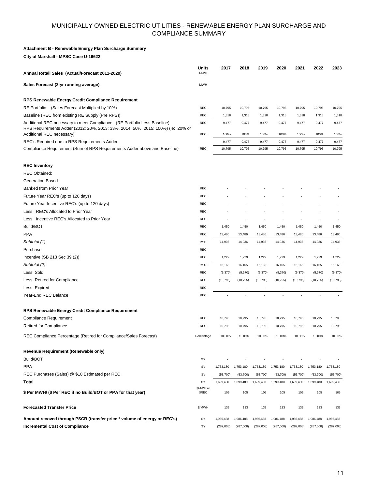#### **Attachment B - Renewable Energy Plan Surcharge Summary**

**City of Marshall - MPSC Case U-16622**

| Annual Retail Sales (Actual/Forecast 2011-2029)                                                                                                              | Units<br><b>MWH</b>     | 2017            | 2018            | 2019                     | 2020            | 2021            | 2022            | 2023            |
|--------------------------------------------------------------------------------------------------------------------------------------------------------------|-------------------------|-----------------|-----------------|--------------------------|-----------------|-----------------|-----------------|-----------------|
| Sales Forecast (3-yr running average)                                                                                                                        | <b>MWH</b>              |                 |                 |                          |                 |                 |                 |                 |
| RPS Renewable Energy Credit Compliance Requirement                                                                                                           |                         |                 |                 |                          |                 |                 |                 |                 |
| RE Portfolio (Sales Forecast Multiplied by 10%)                                                                                                              | <b>REC</b>              | 10,795          | 10,795          | 10,795                   | 10,795          | 10,795          | 10,795          | 10,795          |
| Baseline (REC from existing RE Supply (Pre RPS))                                                                                                             | REC                     | 1,318           | 1,318           | 1,318                    | 1,318           | 1,318           | 1,318           | 1,318           |
| Additional REC necessary to meet Compliance (RE Portfolio Less Baseline)<br>RPS Requirements Adder (2012: 20%, 2013: 33%, 2014: 50%, 2015: 100%) (ie: 20% of | REC                     | 9,477           | 9,477           | 9,477                    | 9,477           | 9,477           | 9,477           | 9,477           |
| Additional REC necessary)                                                                                                                                    | REC                     | 100%            | 100%            | 100%                     | 100%            | 100%            | 100%            | 100%            |
| REC's Required due to RPS Requirements Adder<br>Compliance Requirement (Sum of RPS Requirements Adder above and Baseline)                                    | REC                     | 9,477<br>10,795 | 9,477<br>10,795 | 9,477<br>10,795          | 9,477<br>10,795 | 9,477<br>10,795 | 9,477<br>10,795 | 9,477<br>10,795 |
|                                                                                                                                                              |                         |                 |                 |                          |                 |                 |                 |                 |
| <b>REC Inventory</b>                                                                                                                                         |                         |                 |                 |                          |                 |                 |                 |                 |
| <b>REC Obtained:</b>                                                                                                                                         |                         |                 |                 |                          |                 |                 |                 |                 |
| <b>Generation Based</b>                                                                                                                                      |                         |                 |                 |                          |                 |                 |                 |                 |
| Banked from Prior Year                                                                                                                                       | REC                     |                 |                 |                          |                 |                 |                 |                 |
| Future Year REC's (up to 120 days)                                                                                                                           | REC                     |                 |                 |                          |                 |                 |                 |                 |
| Future Year Incentive REC's (up to 120 days)                                                                                                                 | REC                     |                 |                 |                          |                 |                 |                 |                 |
| Less: REC's Allocated to Prior Year                                                                                                                          | <b>REC</b>              |                 |                 |                          |                 |                 |                 |                 |
| Less: Incentive REC's Allocated to Prior Year                                                                                                                | REC                     |                 |                 |                          |                 |                 |                 |                 |
| Build/BOT                                                                                                                                                    | REC                     | 1,450           | 1,450           | 1,450                    | 1,450           | 1,450           | 1,450           | 1,450           |
| <b>PPA</b>                                                                                                                                                   | <b>REC</b>              | 13,486          | 13,486          | 13,486                   | 13,486          | 13,486          | 13,486          | 13,486          |
| Subtotal (1)                                                                                                                                                 | <b>REC</b>              | 14,936          | 14,936          | 14,936                   | 14,936          | 14,936          | 14,936          | 14,936          |
| Purchase                                                                                                                                                     | REC                     |                 |                 |                          |                 |                 |                 |                 |
| Incentive (SB 213 Sec 39 (2))                                                                                                                                | REC                     | 1,229           | 1,229           | 1,229                    | 1,229           | 1,229           | 1,229           | 1,229           |
| Subtotal (2)                                                                                                                                                 | <b>REC</b>              | 16,165          | 16,165          | 16,165                   | 16,165          | 16,165          | 16,165          | 16,165          |
| Less: Sold                                                                                                                                                   | <b>REC</b>              | (5, 370)        | (5, 370)        | (5, 370)                 | (5,370)         | (5,370)         | (5,370)         | (5,370)         |
| Less: Retired for Compliance                                                                                                                                 | REC                     | (10, 795)       | (10, 795)       | (10, 795)                | (10, 795)       | (10, 795)       | (10, 795)       | (10, 795)       |
| Less: Expired                                                                                                                                                | REC                     | ÷               |                 | $\overline{\phantom{a}}$ |                 |                 |                 |                 |
| Year-End REC Balance                                                                                                                                         | <b>REC</b>              |                 |                 |                          |                 |                 |                 |                 |
| RPS Renewable Energy Credit Compliance Requirement                                                                                                           |                         |                 |                 |                          |                 |                 |                 |                 |
| Compliance Requirement                                                                                                                                       | REC                     | 10,795          | 10,795          | 10,795                   | 10,795          | 10,795          | 10,795          | 10,795          |
| <b>Retired for Compliance</b>                                                                                                                                | <b>REC</b>              | 10,795          | 10,795          | 10,795                   | 10,795          | 10,795          | 10,795          | 10,795          |
| REC Compliance Percentage (Retired for Compliance/Sales Forecast)                                                                                            | Percentage              | 10.00%          | 10.00%          | 10.00%                   | 10.00%          | 10.00%          | 10.00%          | 10.00%          |
| Revenue Requirement (Renewable only)                                                                                                                         |                         |                 |                 |                          |                 |                 |                 |                 |
| Build/BOT                                                                                                                                                    | $s$ 's                  |                 |                 |                          |                 |                 |                 |                 |
| <b>PPA</b>                                                                                                                                                   | $s$ 's                  | 1,753,180       | 1,753,180       | 1,753,180                | 1,753,180       | 1,753,180       | 1,753,180       | 1,753,180       |
| REC Purchases (Sales) @ \$10 Estimated per REC                                                                                                               | $s$ 's                  | (53,700)        | (53,700)        | (53,700)                 | (53,700)        | (53,700)        | (53,700)        | (53,700)        |
| Total                                                                                                                                                        | $s$ 's                  | 1,699,480       | 1,699,480       | 1,699,480                | 1,699,480       | 1,699,480       | 1,699,480       | 1,699,480       |
| \$ Per MWH/ (\$ Per REC if no Build/BOT or PPA for that year)                                                                                                | \$MWH or<br><b>SREC</b> | 105             | 105             | 105                      | 105             | 105             | 105             | 105             |
| <b>Forecasted Transfer Price</b>                                                                                                                             | \$/MWH                  | 133             | 133             | 133                      | 133             | 133             | 133             | 133             |
| Amount recoved through PSCR (transfer price * volume of energy or REC's)                                                                                     | $s$ 's                  | 1,986,488       | 1,986,488       | 1,986,488                | 1,986,488       | 1,986,488       | 1,986,488       | 1,986,488       |
| <b>Incremental Cost of Compliance</b>                                                                                                                        | \$'s                    | (287,008)       | (287,008)       | (287,008)                | (287,008)       | (287,008)       | (287,008)       | (287,008)       |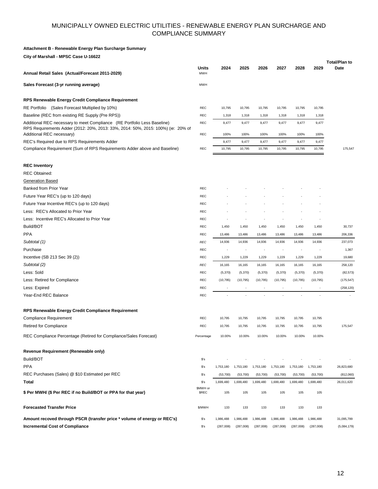#### **Attachment B - Renewable Energy Plan Surcharge Summary**

**City of Marshall - MPSC Case U-16622**

| Annual Retail Sales (Actual/Forecast 2011-2029)                                                                                                                                           | Units<br><b>MWH</b>      | 2024          | 2025          | 2026          | 2027          | 2028          | 2029          | <b>Total/Plan to</b><br>Date |
|-------------------------------------------------------------------------------------------------------------------------------------------------------------------------------------------|--------------------------|---------------|---------------|---------------|---------------|---------------|---------------|------------------------------|
| Sales Forecast (3-yr running average)                                                                                                                                                     | <b>MWH</b>               |               |               |               |               |               |               |                              |
| RPS Renewable Energy Credit Compliance Requirement                                                                                                                                        |                          |               |               |               |               |               |               |                              |
| RE Portfolio (Sales Forecast Multiplied by 10%)                                                                                                                                           | REC                      | 10,795        | 10,795        | 10,795        | 10,795        | 10,795        | 10,795        |                              |
| Baseline (REC from existing RE Supply (Pre RPS))                                                                                                                                          | REC                      | 1,318         | 1,318         | 1,318         | 1,318         | 1,318         | 1,318         |                              |
| Additional REC necessary to meet Compliance (RE Portfolio Less Baseline)<br>RPS Requirements Adder (2012: 20%, 2013: 33%, 2014: 50%, 2015: 100%) (ie: 20% of<br>Additional REC necessary) | <b>REC</b><br>REC        | 9,477<br>100% | 9,477<br>100% | 9,477<br>100% | 9,477<br>100% | 9,477<br>100% | 9,477<br>100% |                              |
| REC's Required due to RPS Requirements Adder                                                                                                                                              |                          | 9,477         | 9,477         | 9,477         | 9,477         | 9,477         | 9,477         |                              |
| Compliance Requirement (Sum of RPS Requirements Adder above and Baseline)                                                                                                                 | REC                      | 10,795        | 10,795        | 10,795        | 10,795        | 10,795        | 10,795        | 175,547                      |
| <b>REC Inventory</b>                                                                                                                                                                      |                          |               |               |               |               |               |               |                              |
| <b>REC Obtained:</b>                                                                                                                                                                      |                          |               |               |               |               |               |               |                              |
| <b>Generation Based</b>                                                                                                                                                                   |                          |               |               |               |               |               |               |                              |
| Banked from Prior Year                                                                                                                                                                    | REC                      |               |               |               |               |               |               |                              |
| Future Year REC's (up to 120 days)                                                                                                                                                        | <b>REC</b>               |               |               |               |               |               |               |                              |
| Future Year Incentive REC's (up to 120 days)                                                                                                                                              | REC                      |               |               |               |               |               |               |                              |
| Less: REC's Allocated to Prior Year                                                                                                                                                       | REC                      |               |               |               |               |               |               |                              |
| Less: Incentive REC's Allocated to Prior Year                                                                                                                                             | REC                      |               |               |               |               |               |               |                              |
| Build/BOT                                                                                                                                                                                 | <b>REC</b>               | 1,450         | 1,450         | 1,450         | 1,450         | 1,450         | 1,450         | 30,737                       |
| <b>PPA</b>                                                                                                                                                                                | REC                      | 13,486        | 13,486        | 13,486        | 13,486        | 13,486        | 13,486        | 206,336                      |
| Subtotal (1)                                                                                                                                                                              | <b>REC</b>               | 14,936        | 14,936        | 14,936        | 14,936        | 14,936        | 14,936        | 237,073                      |
| Purchase                                                                                                                                                                                  | <b>REC</b>               |               |               |               |               |               |               | 1,367                        |
| Incentive (SB 213 Sec 39 (2))                                                                                                                                                             | <b>REC</b>               | 1,229         | 1,229         | 1,229         | 1,229         | 1,229         | 1,229         | 19,680                       |
| Subtotal (2)                                                                                                                                                                              | <b>REC</b>               | 16,165        | 16,165        | 16,165        | 16,165        | 16,165        | 16,165        | 258,120                      |
| Less: Sold                                                                                                                                                                                | REC                      | (5,370)       | (5,370)       | (5,370)       | (5,370)       | (5,370)       | (5,370)       | (82, 573)                    |
| Less: Retired for Compliance                                                                                                                                                              | REC                      | (10, 795)     | (10, 795)     | (10, 795)     | (10, 795)     | (10, 795)     | (10, 795)     | (175, 547)                   |
| Less: Expired                                                                                                                                                                             | <b>REC</b>               |               | ÷             |               |               |               |               | (258, 120)                   |
| Year-End REC Balance                                                                                                                                                                      | REC                      |               |               |               |               |               |               |                              |
| RPS Renewable Energy Credit Compliance Requirement                                                                                                                                        |                          |               |               |               |               |               |               |                              |
| <b>Compliance Requirement</b>                                                                                                                                                             | REC                      | 10,795        | 10,795        | 10,795        | 10,795        | 10,795        | 10,795        |                              |
| <b>Retired for Compliance</b>                                                                                                                                                             | REC                      | 10,795        | 10,795        | 10,795        | 10,795        | 10,795        | 10,795        | 175,547                      |
| REC Compliance Percentage (Retired for Compliance/Sales Forecast)                                                                                                                         | Percentage               | 10.00%        | 10.00%        | 10.00%        | 10.00%        | 10.00%        | 10.00%        |                              |
| Revenue Requirement (Renewable only)                                                                                                                                                      |                          |               |               |               |               |               |               |                              |
| Build/BOT                                                                                                                                                                                 | $s$ 's                   |               |               |               |               |               |               |                              |
| <b>PPA</b>                                                                                                                                                                                | $s$ 's                   | 1,753,180     | 1,753,180     | 1,753,180     | 1,753,180     | 1,753,180     | 1,753,180     | 26,823,680                   |
| REC Purchases (Sales) @ \$10 Estimated per REC                                                                                                                                            | $s$ 's                   | (53,700)      | (53,700)      | (53,700)      | (53,700)      | (53,700)      | (53,700)      | (812,060)                    |
| Total                                                                                                                                                                                     | \$'s                     | 1,699,480     | 1,699,480     | 1,699,480     | 1,699,480     | 1,699,480     | 1,699,480     | 26,011,620                   |
| \$ Per MWH/ (\$ Per REC if no Build/BOT or PPA for that year)                                                                                                                             | \$MWH or<br><b>\$REC</b> | 105           | 105           | 105           | 105           | 105           | 105           |                              |
| <b>Forecasted Transfer Price</b>                                                                                                                                                          | \$/MWH                   | 133           | 133           | 133           | 133           | 133           | 133           |                              |
| Amount recoved through PSCR (transfer price * volume of energy or REC's)                                                                                                                  | \$'s                     | 1,986,488     | 1,986,488     | 1,986,488     | 1,986,488     | 1,986,488     | 1,986,488     | 31,095,799                   |
| <b>Incremental Cost of Compliance</b>                                                                                                                                                     | \$'s                     | (287,008)     | (287,008)     | (287,008)     | (287,008)     | (287,008)     | (287,008)     | (5,084,179)                  |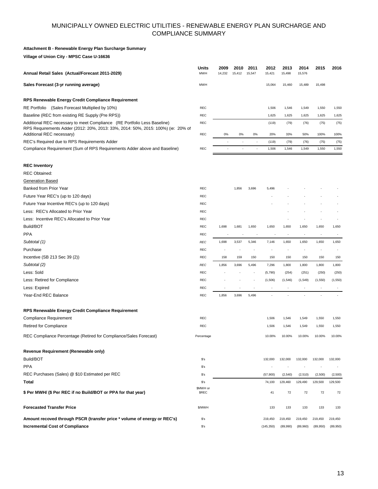#### **Attachment B - Renewable Energy Plan Surcharge Summary**

**Village of Union City - MPSC Case U-16636**

| Annual Retail Sales (Actual/Forecast 2011-2029)                                                                                                                                           | Units<br><b>MWH</b>            | 2009<br>14,232 | 2010<br>15,412 | 2011<br>15,547           | 2012<br>15,421           | 2013<br>15,498 | 2014<br>15,576           | 2015                     | 2016                     |
|-------------------------------------------------------------------------------------------------------------------------------------------------------------------------------------------|--------------------------------|----------------|----------------|--------------------------|--------------------------|----------------|--------------------------|--------------------------|--------------------------|
| Sales Forecast (3-yr running average)                                                                                                                                                     | <b>MWH</b>                     |                |                |                          | 15,064                   | 15,460         | 15,489                   | 15,498                   |                          |
| RPS Renewable Energy Credit Compliance Requirement                                                                                                                                        |                                |                |                |                          |                          |                |                          |                          |                          |
| RE Portfolio (Sales Forecast Multiplied by 10%)                                                                                                                                           | <b>REC</b>                     |                |                |                          | 1,506                    | 1,546          | 1,549                    | 1,550                    | 1,550                    |
| Baseline (REC from existing RE Supply (Pre RPS))                                                                                                                                          | REC                            |                |                |                          | 1,625                    | 1,625          | 1,625                    | 1,625                    | 1,625                    |
| Additional REC necessary to meet Compliance (RE Portfolio Less Baseline)<br>RPS Requirements Adder (2012: 20%, 2013: 33%, 2014: 50%, 2015: 100%) (ie: 20% of<br>Additional REC necessary) | <b>REC</b><br>REC              | 0%             | 0%             | 0%                       | (119)<br>20%             | (79)<br>33%    | (76)<br>50%              | (75)<br>100%             | (75)<br>100%             |
| REC's Required due to RPS Requirements Adder                                                                                                                                              |                                |                |                |                          | (119)                    | (79)           | (76)                     | (75)                     | (75)                     |
| Compliance Requirement (Sum of RPS Requirements Adder above and Baseline)                                                                                                                 | <b>REC</b>                     |                |                |                          | 1,506                    | 1,546          | 1,549                    | 1,550                    | 1,550                    |
| <b>REC Inventory</b>                                                                                                                                                                      |                                |                |                |                          |                          |                |                          |                          |                          |
| <b>REC Obtained:</b>                                                                                                                                                                      |                                |                |                |                          |                          |                |                          |                          |                          |
| <b>Generation Based</b>                                                                                                                                                                   |                                |                |                |                          |                          |                |                          |                          |                          |
| Banked from Prior Year                                                                                                                                                                    | <b>REC</b>                     |                | 1,856          | 3,696                    | 5,496                    |                |                          |                          |                          |
| Future Year REC's (up to 120 days)                                                                                                                                                        | REC                            |                |                |                          |                          |                |                          |                          |                          |
| Future Year Incentive REC's (up to 120 days)                                                                                                                                              | REC                            |                |                |                          |                          |                |                          |                          |                          |
| Less: REC's Allocated to Prior Year                                                                                                                                                       | <b>REC</b>                     |                |                |                          |                          |                |                          |                          |                          |
| Less: Incentive REC's Allocated to Prior Year                                                                                                                                             | REC                            |                |                |                          |                          |                |                          |                          |                          |
| Build/BOT                                                                                                                                                                                 | REC                            | 1,698          | 1,681          | 1,650                    | 1,650                    | 1,650          | 1,650                    | 1,650                    | 1,650                    |
| <b>PPA</b>                                                                                                                                                                                | <b>REC</b>                     |                |                |                          |                          | $\overline{a}$ | ÷                        |                          |                          |
| Subtotal (1)                                                                                                                                                                              | <b>REC</b>                     | 1,698          | 3,537          | 5,346                    | 7,146                    | 1,650          | 1,650                    | 1,650                    | 1,650                    |
| Purchase                                                                                                                                                                                  | REC                            |                |                |                          |                          |                |                          |                          |                          |
| Incentive (SB 213 Sec 39 (2))                                                                                                                                                             | REC                            | 158            | 159            | 150                      | 150                      | 150            | 150                      | 150                      | 150                      |
| Subtotal (2)                                                                                                                                                                              | <b>REC</b>                     | 1,856          | 3,696          | 5,496                    | 7,296                    | 1,800          | 1,800                    | 1,800                    | 1,800                    |
| Less: Sold                                                                                                                                                                                | <b>REC</b>                     |                |                |                          | (5,790)                  | (254)          | (251)                    | (250)                    | (250)                    |
| Less: Retired for Compliance                                                                                                                                                              | REC                            |                |                |                          | (1,506)                  | (1, 546)       | (1, 549)                 | (1, 550)                 | (1, 550)                 |
| Less: Expired                                                                                                                                                                             | REC                            |                |                | $\overline{\phantom{a}}$ | $\overline{\phantom{a}}$ | ٠              | $\overline{\phantom{a}}$ | $\overline{\phantom{a}}$ | $\overline{\phantom{a}}$ |
| Year-End REC Balance                                                                                                                                                                      | REC                            | 1,856          | 3,696          | 5,496                    |                          | ÷.             | L.                       |                          |                          |
| RPS Renewable Energy Credit Compliance Requirement                                                                                                                                        |                                |                |                |                          |                          |                |                          |                          |                          |
| Compliance Requirement                                                                                                                                                                    | <b>REC</b>                     |                |                |                          | 1,506                    | 1,546          | 1,549                    | 1,550                    | 1,550                    |
| <b>Retired for Compliance</b>                                                                                                                                                             | REC                            |                |                |                          | 1,506                    | 1,546          | 1,549                    | 1,550                    | 1,550                    |
| REC Compliance Percentage (Retired for Compliance/Sales Forecast)                                                                                                                         | Percentage                     |                |                |                          | 10.00%                   | 10.00%         | 10.00%                   | 10.00%                   | 10.00%                   |
| Revenue Requirement (Renewable only)                                                                                                                                                      |                                |                |                |                          |                          |                |                          |                          |                          |
| Build/BOT                                                                                                                                                                                 | $s$ 's                         |                |                |                          | 132,000                  | 132,000        | 132,000                  | 132,000                  | 132,000                  |
| <b>PPA</b>                                                                                                                                                                                | \$'s                           |                |                |                          |                          |                | $\overline{\phantom{a}}$ | $\overline{\phantom{a}}$ |                          |
| REC Purchases (Sales) @ \$10 Estimated per REC                                                                                                                                            | $s$ 's                         |                |                |                          | (57,900)                 | (2, 540)       | (2, 510)                 | (2,500)                  | (2,500)                  |
| Total                                                                                                                                                                                     | $s$ 's                         |                |                |                          | 74,100                   | 129,460        | 129,490                  | 129,500                  | 129,500                  |
| \$ Per MWH/ (\$ Per REC if no Build/BOT or PPA for that year)                                                                                                                             | <b>SMWH</b> or<br><b>\$REC</b> |                |                |                          | 41                       | 72             | 72                       | 72                       | 72                       |
| <b>Forecasted Transfer Price</b>                                                                                                                                                          | \$/MWH                         |                |                |                          | 133                      | 133            | 133                      | 133                      | 133                      |
| Amount recoved through PSCR (transfer price * volume of energy or REC's)                                                                                                                  | $s$ 's                         |                |                |                          | 219,450                  | 219,450        | 219,450                  | 219,450                  | 219,450                  |
| <b>Incremental Cost of Compliance</b>                                                                                                                                                     | $s$ 's                         |                |                |                          | (145, 350)               | (89,990)       | (89,960)                 | (89,950)                 | (89,950)                 |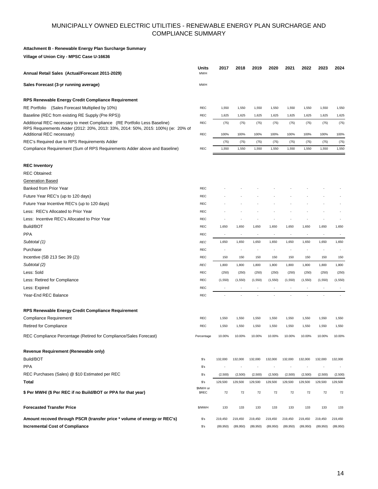#### **Attachment B - Renewable Energy Plan Surcharge Summary**

**Village of Union City - MPSC Case U-16636**

| Annual Retail Sales (Actual/Forecast 2011-2029)                                                                                                              | Units<br><b>MWH</b>      | 2017                     | 2018                     | 2019                     | 2020                     | 2021                     | 2022                     | 2023                     | 2024                     |
|--------------------------------------------------------------------------------------------------------------------------------------------------------------|--------------------------|--------------------------|--------------------------|--------------------------|--------------------------|--------------------------|--------------------------|--------------------------|--------------------------|
| Sales Forecast (3-yr running average)                                                                                                                        | <b>MWH</b>               |                          |                          |                          |                          |                          |                          |                          |                          |
| RPS Renewable Energy Credit Compliance Requirement                                                                                                           |                          |                          |                          |                          |                          |                          |                          |                          |                          |
| RE Portfolio (Sales Forecast Multiplied by 10%)                                                                                                              | REC                      | 1,550                    | 1,550                    | 1,550                    | 1,550                    | 1,550                    | 1,550                    | 1,550                    | 1,550                    |
| Baseline (REC from existing RE Supply (Pre RPS))                                                                                                             | REC                      | 1,625                    | 1,625                    | 1,625                    | 1,625                    | 1,625                    | 1,625                    | 1,625                    | 1,625                    |
| Additional REC necessary to meet Compliance (RE Portfolio Less Baseline)<br>RPS Requirements Adder (2012: 20%, 2013: 33%, 2014: 50%, 2015: 100%) (ie: 20% of | REC                      | (75)                     | (75)                     | (75)                     | (75)                     | (75)                     | (75)                     | (75)                     | (75)                     |
| Additional REC necessary)                                                                                                                                    | REC                      | 100%                     | 100%                     | 100%                     | 100%                     | 100%                     | 100%                     | 100%                     | 100%                     |
| REC's Required due to RPS Requirements Adder<br>Compliance Requirement (Sum of RPS Requirements Adder above and Baseline)                                    | <b>REC</b>               | (75)<br>1,550            | (75)<br>1,550            | (75)<br>1,550            | (75)<br>1,550            | (75)<br>1,550            | (75)<br>1,550            | (75)<br>1,550            | (75)<br>1,550            |
|                                                                                                                                                              |                          |                          |                          |                          |                          |                          |                          |                          |                          |
| <b>REC Inventory</b>                                                                                                                                         |                          |                          |                          |                          |                          |                          |                          |                          |                          |
| <b>REC Obtained:</b>                                                                                                                                         |                          |                          |                          |                          |                          |                          |                          |                          |                          |
| <b>Generation Based</b>                                                                                                                                      |                          |                          |                          |                          |                          |                          |                          |                          |                          |
| Banked from Prior Year                                                                                                                                       | <b>REC</b>               |                          |                          |                          |                          |                          |                          |                          |                          |
| Future Year REC's (up to 120 days)                                                                                                                           | <b>REC</b>               |                          |                          |                          |                          |                          |                          |                          |                          |
| Future Year Incentive REC's (up to 120 days)                                                                                                                 | <b>REC</b>               |                          |                          |                          |                          |                          |                          |                          |                          |
| Less: REC's Allocated to Prior Year                                                                                                                          | REC                      |                          |                          |                          |                          |                          |                          |                          |                          |
| Less: Incentive REC's Allocated to Prior Year                                                                                                                | <b>REC</b>               |                          |                          |                          |                          |                          |                          |                          |                          |
| Build/BOT                                                                                                                                                    | <b>REC</b>               | 1,650                    | 1,650                    | 1,650                    | 1,650                    | 1,650                    | 1,650                    | 1,650                    | 1,650                    |
| <b>PPA</b>                                                                                                                                                   | <b>REC</b>               | $\overline{\phantom{a}}$ | $\overline{\phantom{a}}$ | $\overline{\phantom{a}}$ | $\overline{\phantom{a}}$ | $\overline{\phantom{m}}$ | $\overline{\phantom{a}}$ | $\overline{\phantom{a}}$ |                          |
| Subtotal (1)                                                                                                                                                 | REC                      | 1,650                    | 1,650                    | 1,650                    | 1,650                    | 1,650                    | 1,650                    | 1,650                    | 1,650                    |
| Purchase                                                                                                                                                     | <b>REC</b>               |                          |                          |                          |                          |                          |                          |                          |                          |
| Incentive (SB 213 Sec 39 (2))                                                                                                                                | <b>REC</b>               | 150                      | 150                      | 150                      | 150                      | 150                      | 150                      | 150                      | 150                      |
| Subtotal (2)                                                                                                                                                 | <b>REC</b>               | 1,800                    | 1,800                    | 1,800                    | 1,800                    | 1,800                    | 1,800                    | 1,800                    | 1,800                    |
| Less: Sold                                                                                                                                                   | REC                      | (250)                    | (250)                    | (250)                    | (250)                    | (250)                    | (250)                    | (250)                    | (250)                    |
| Less: Retired for Compliance                                                                                                                                 | <b>REC</b>               | (1, 550)                 | (1, 550)                 | (1, 550)                 | (1, 550)                 | (1,550)                  | (1,550)                  | (1,550)                  | (1,550)                  |
| Less: Expired                                                                                                                                                | <b>REC</b>               | $\overline{\phantom{a}}$ | $\overline{\phantom{a}}$ | $\overline{\phantom{a}}$ | $\overline{\phantom{a}}$ | $\overline{\phantom{a}}$ | $\overline{\phantom{a}}$ | $\overline{\phantom{a}}$ |                          |
| Year-End REC Balance                                                                                                                                         | <b>REC</b>               |                          |                          |                          |                          |                          |                          |                          |                          |
| RPS Renewable Energy Credit Compliance Requirement                                                                                                           |                          |                          |                          |                          |                          |                          |                          |                          |                          |
| <b>Compliance Requirement</b>                                                                                                                                | <b>REC</b>               | 1,550                    | 1,550                    | 1,550                    | 1,550                    | 1,550                    | 1,550                    | 1,550                    | 1,550                    |
| <b>Retired for Compliance</b>                                                                                                                                | REC                      | 1,550                    | 1,550                    | 1,550                    | 1,550                    | 1,550                    | 1,550                    | 1,550                    | 1,550                    |
| REC Compliance Percentage (Retired for Compliance/Sales Forecast)                                                                                            | Percentage               | 10.00%                   | 10.00%                   | 10.00%                   | 10.00%                   | 10.00%                   | 10.00%                   | 10.00%                   | 10.00%                   |
| Revenue Requirement (Renewable only)                                                                                                                         |                          |                          |                          |                          |                          |                          |                          |                          |                          |
| Build/BOT                                                                                                                                                    | $s$ 's                   | 132,000                  | 132,000                  | 132,000                  | 132,000                  | 132,000                  | 132,000                  | 132,000                  | 132,000                  |
| <b>PPA</b>                                                                                                                                                   | $s$ 's                   | $\overline{\phantom{a}}$ | $\overline{\phantom{a}}$ | $\overline{\phantom{a}}$ | $\overline{\phantom{a}}$ | $\overline{\phantom{a}}$ | $\overline{\phantom{a}}$ | $\overline{\phantom{a}}$ | $\overline{\phantom{a}}$ |
| REC Purchases (Sales) @ \$10 Estimated per REC                                                                                                               | $s$ 's                   | (2,500)                  | (2,500)                  | (2,500)                  | (2,500)                  | (2,500)                  | (2,500)                  | (2,500)                  | (2,500)                  |
| Total                                                                                                                                                        | $s$ 's                   | 129,500                  | 129,500                  | 129,500                  | 129,500                  | 129,500                  | 129,500                  | 129,500                  | 129,500                  |
| \$ Per MWH/ (\$ Per REC if no Build/BOT or PPA for that year)                                                                                                | \$MWH or<br><b>\$REC</b> | 72                       | 72                       | 72                       | 72                       | 72                       | 72                       | 72                       | 72                       |
|                                                                                                                                                              |                          |                          |                          |                          |                          |                          |                          |                          |                          |
| <b>Forecasted Transfer Price</b>                                                                                                                             | \$/MWH                   | 133                      | 133                      | 133                      | 133                      | 133                      | 133                      | 133                      | 133                      |
| Amount recoved through PSCR (transfer price * volume of energy or REC's)                                                                                     | $s$ 's                   | 219,450                  | 219,450                  | 219,450                  | 219,450                  | 219,450                  | 219,450                  | 219,450                  | 219,450                  |
| <b>Incremental Cost of Compliance</b>                                                                                                                        | $s$ 's                   | (89,950)                 | (89,950)                 | (89,950)                 | (89,950)                 | (89,950)                 | (89,950)                 | (89,950)                 | (89,950)                 |